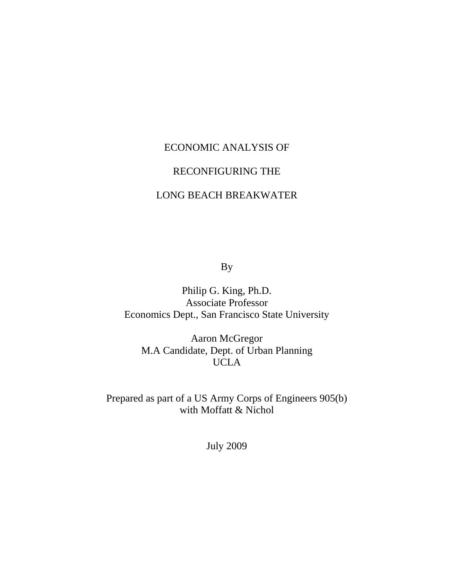# ECONOMIC ANALYSIS OF

# RECONFIGURING THE

# LONG BEACH BREAKWATER

By

Philip G. King, Ph.D. Associate Professor Economics Dept., San Francisco State University

Aaron McGregor M.A Candidate, Dept. of Urban Planning UCLA

Prepared as part of a US Army Corps of Engineers 905(b) with Moffatt & Nichol

July 2009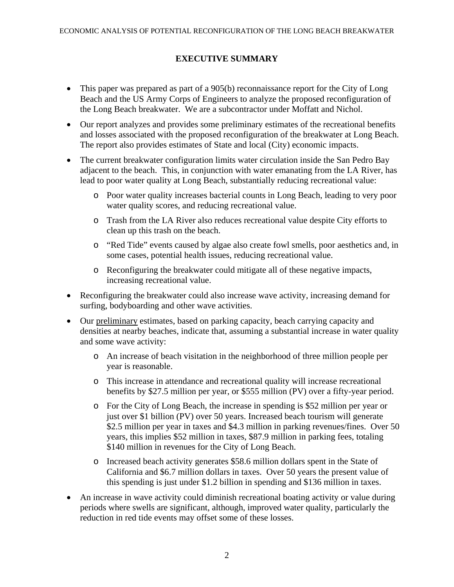# **EXECUTIVE SUMMARY**

- This paper was prepared as part of a 905(b) reconnaissance report for the City of Long Beach and the US Army Corps of Engineers to analyze the proposed reconfiguration of the Long Beach breakwater. We are a subcontractor under Moffatt and Nichol.
- Our report analyzes and provides some preliminary estimates of the recreational benefits and losses associated with the proposed reconfiguration of the breakwater at Long Beach. The report also provides estimates of State and local (City) economic impacts.
- The current breakwater configuration limits water circulation inside the San Pedro Bay adjacent to the beach. This, in conjunction with water emanating from the LA River, has lead to poor water quality at Long Beach, substantially reducing recreational value:
	- o Poor water quality increases bacterial counts in Long Beach, leading to very poor water quality scores, and reducing recreational value.
	- o Trash from the LA River also reduces recreational value despite City efforts to clean up this trash on the beach.
	- o "Red Tide" events caused by algae also create fowl smells, poor aesthetics and, in some cases, potential health issues, reducing recreational value.
	- o Reconfiguring the breakwater could mitigate all of these negative impacts, increasing recreational value.
- Reconfiguring the breakwater could also increase wave activity, increasing demand for surfing, bodyboarding and other wave activities.
- Our preliminary estimates, based on parking capacity, beach carrying capacity and densities at nearby beaches, indicate that, assuming a substantial increase in water quality and some wave activity:
	- o An increase of beach visitation in the neighborhood of three million people per year is reasonable.
	- o This increase in attendance and recreational quality will increase recreational benefits by \$27.5 million per year, or \$555 million (PV) over a fifty-year period.
	- o For the City of Long Beach, the increase in spending is \$52 million per year or just over \$1 billion (PV) over 50 years. Increased beach tourism will generate \$2.5 million per year in taxes and \$4.3 million in parking revenues/fines. Over 50 years, this implies \$52 million in taxes, \$87.9 million in parking fees, totaling \$140 million in revenues for the City of Long Beach.
	- o Increased beach activity generates \$58.6 million dollars spent in the State of California and \$6.7 million dollars in taxes. Over 50 years the present value of this spending is just under \$1.2 billion in spending and \$136 million in taxes.
- An increase in wave activity could diminish recreational boating activity or value during periods where swells are significant, although, improved water quality, particularly the reduction in red tide events may offset some of these losses.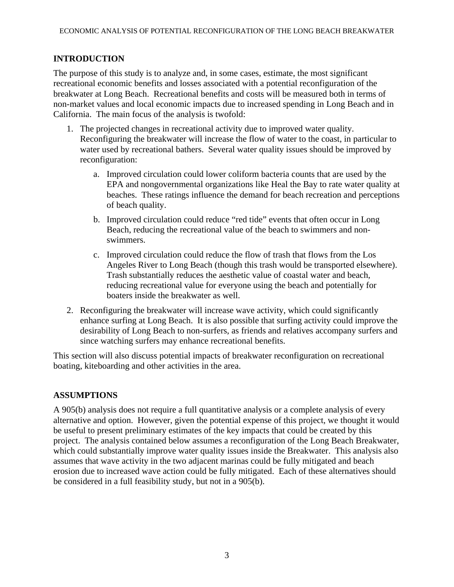### **INTRODUCTION**

The purpose of this study is to analyze and, in some cases, estimate, the most significant recreational economic benefits and losses associated with a potential reconfiguration of the breakwater at Long Beach. Recreational benefits and costs will be measured both in terms of non-market values and local economic impacts due to increased spending in Long Beach and in California. The main focus of the analysis is twofold:

- 1. The projected changes in recreational activity due to improved water quality. Reconfiguring the breakwater will increase the flow of water to the coast, in particular to water used by recreational bathers. Several water quality issues should be improved by reconfiguration:
	- a. Improved circulation could lower coliform bacteria counts that are used by the EPA and nongovernmental organizations like Heal the Bay to rate water quality at beaches. These ratings influence the demand for beach recreation and perceptions of beach quality.
	- b. Improved circulation could reduce "red tide" events that often occur in Long Beach, reducing the recreational value of the beach to swimmers and nonswimmers.
	- c. Improved circulation could reduce the flow of trash that flows from the Los Angeles River to Long Beach (though this trash would be transported elsewhere). Trash substantially reduces the aesthetic value of coastal water and beach, reducing recreational value for everyone using the beach and potentially for boaters inside the breakwater as well.
- 2. Reconfiguring the breakwater will increase wave activity, which could significantly enhance surfing at Long Beach. It is also possible that surfing activity could improve the desirability of Long Beach to non-surfers, as friends and relatives accompany surfers and since watching surfers may enhance recreational benefits.

This section will also discuss potential impacts of breakwater reconfiguration on recreational boating, kiteboarding and other activities in the area.

### **ASSUMPTIONS**

A 905(b) analysis does not require a full quantitative analysis or a complete analysis of every alternative and option. However, given the potential expense of this project, we thought it would be useful to present preliminary estimates of the key impacts that could be created by this project. The analysis contained below assumes a reconfiguration of the Long Beach Breakwater, which could substantially improve water quality issues inside the Breakwater. This analysis also assumes that wave activity in the two adjacent marinas could be fully mitigated and beach erosion due to increased wave action could be fully mitigated. Each of these alternatives should be considered in a full feasibility study, but not in a 905(b).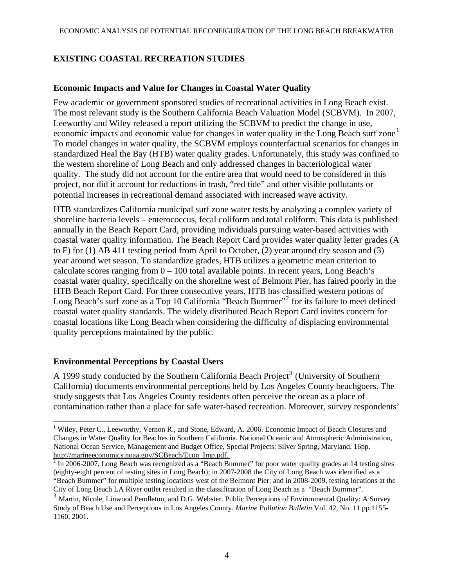# **EXISTING COASTAL RECREATION STUDIES**

#### **Economic Impacts and Value for Changes in Coastal Water Quality**

Few academic or government sponsored studies of recreational activities in Long Beach exist. The most relevant study is the Southern California Beach Valuation Model (SCBVM). In 2007, Leeworthy and Wiley released a report utilizing the SCBVM to predict the change in use, economic impacts and economic value for changes in water quality in the Long Beach surf zone<sup>[1](#page-3-0)</sup> To model changes in water quality, the SCBVM employs counterfactual scenarios for changes in standardized Heal the Bay (HTB) water quality grades. Unfortunately, this study was confined to the western shoreline of Long Beach and only addressed changes in bacteriological water quality. The study did not account for the entire area that would need to be considered in this project, nor did it account for reductions in trash, "red tide" and other visible pollutants or potential increases in recreational demand associated with increased wave activity.

HTB standardizes California municipal surf zone water tests by analyzing a complex variety of shoreline bacteria levels – enterococcus, fecal coliform and total coliform. This data is published annually in the Beach Report Card, providing individuals pursuing water-based activities with coastal water quality information. The Beach Report Card provides water quality letter grades (A to F) for (1) AB 411 testing period from April to October, (2) year around dry season and (3) year around wet season. To standardize grades, HTB utilizes a geometric mean criterion to calculate scores ranging from  $0 - 100$  total available points. In recent years, Long Beach's coastal water quality, specifically on the shoreline west of Belmont Pier, has faired poorly in the HTB Beach Report Card. For three consecutive years, HTB has classified western potions of Long Beach's surf zone as a Top 10 California "Beach Bummer"<sup>[2](#page-3-1)</sup> for its failure to meet defined coastal water quality standards. The widely distributed Beach Report Card invites concern for coastal locations like Long Beach when considering the difficulty of displacing environmental quality perceptions maintained by the public.

### **Environmental Perceptions by Coastal Users**

A 1999 study conducted by the Southern California Beach Project<sup>[3](#page-3-2)</sup> (University of Southern [California\) documents environmental perceptions held by Los Angeles County beachgoers. The](#page-3-2)  [study suggests that Los Angeles County residents often perceive the ocean as a place of](#page-3-2)  [contamination rather than a place for safe water-based recreation. Moreover, survey respondents'](#page-3-2) 

<span id="page-3-0"></span> $\overline{a}$ <sup>1</sup> Wiley, Peter C., Leeworthy, Vernon R., and Stone, Edward, A. 2006. Economic Impact of Beach Closures and Changes in Water Quality for Beaches in Southern California. National Oceanic and Atmospheric Administration, National Ocean Service, Management and Budget Office, Special Projects: Silver Spring, Maryland. 16pp. http://marineeconomics.noaa.gov/SCBeach/Econ\_Imp.pdf. 2

<span id="page-3-1"></span> $^2$  In 2006-2007, Long Beach was recognized as a "Beach Bummer" for poor water quality grades at 14 testing sites (eighty-eight percent of testing sites in Long Beach); in 2007-2008 the City of Long Beach was identified as a "Beach Bummer" for multiple testing locations west of the Belmont Pier; and in 2008-2009, testing locations at the City of Long Beach LA River outlet resulted in the classification of Long Beach as a "Beach Bummer".

<span id="page-3-2"></span><sup>&</sup>lt;sup>3</sup> Martin, Nicole, Linwood Pendleton, and D.G. Webster. Public Perceptions of Environmental Quality: A Survey Study of Beach Use and Perceptions in Los Angeles County. *Marine Pollution Bulletin* Vol. 42, No. 11 pp.1155- 1160, 2001.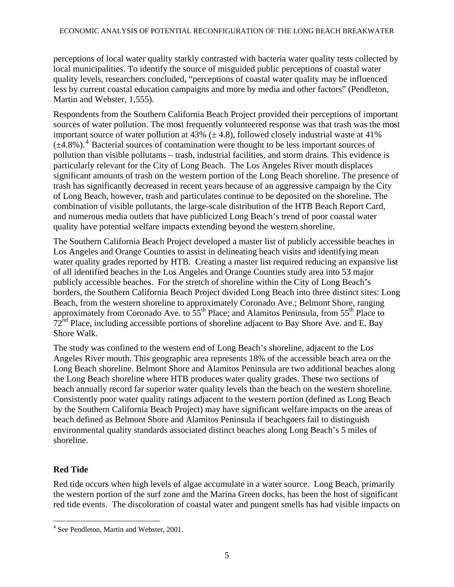perceptions of local water quality starkly contrasted with bacteria water quality tests collected by local municipalities. To identify the source of misguided public perceptions of coastal water quality levels, researchers concluded, "perceptions of coastal water quality may be influenced less by current coastal education campaigns and more by media and other factors" (Pendleton, Martin and Webster, 1,555).

Respondents from the Southern California Beach Project provided their perceptions of important sources of water pollution. The most frequently volunteered response was that trash was the most important source of water pollution at 43%  $(\pm 4.8)$ , followed closely industrial waste at 41%  $(\pm 4.8\%)$  $(\pm 4.8\%)$  $(\pm 4.8\%)$ <sup>4</sup> Bacterial sources of contamination were thought to be less important sources of pollution than visible pollutants – trash, industrial facilities, and storm drains. This evidence is particularly relevant for the City of Long Beach. The Los Angeles River mouth displaces significant amounts of trash on the western portion of the Long Beach shoreline. The presence of trash has significantly decreased in recent years because of an aggressive campaign by the City of Long Beach, however, trash and particulates continue to be deposited on the shoreline. The combination of visible pollutants, the large-scale distribution of the HTB Beach Report Card, and numerous media outlets that have publicized Long Beach's trend of poor coastal water quality have potential welfare impacts extending beyond the western shoreline.

The Southern California Beach Project developed a master list of publicly accessible beaches in Los Angeles and Orange Counties to assist in delineating beach visits and identifying mean water quality grades reported by HTB. Creating a master list required reducing an expansive list of all identified beaches in the Los Angeles and Orange Counties study area into 53 major publicly accessible beaches. For the stretch of shoreline within the City of Long Beach's borders, the Southern California Beach Project divided Long Beach into three distinct sites: Long Beach, from the western shoreline to approximately Coronado Ave.; Belmont Shore, ranging approximately from Coronado Ave. to  $55<sup>th</sup>$  Place; and Alamitos Peninsula, from  $55<sup>th</sup>$  Place to 72<sup>nd</sup> Place, including accessible portions of shoreline adjacent to Bay Shore Ave. and E. Bay Shore Walk.

The study was confined to the western end of Long Beach's shoreline, adjacent to the Los Angeles River mouth. This geographic area represents 18% of the accessible beach area on the Long Beach shoreline. Belmont Shore and Alamitos Peninsula are two additional beaches along the Long Beach shoreline where HTB produces water quality grades. These two sections of beach annually record far superior water quality levels than the beach on the western shoreline. Consistently poor water quality ratings adjacent to the western portion (defined as Long Beach by the Southern California Beach Project) may have significant welfare impacts on the areas of beach defined as Belmont Shore and Alamitos Peninsula if beachgoers fail to distinguish environmental quality standards associated distinct beaches along Long Beach's 5 miles of shoreline.

# **Red Tide**

 $\overline{a}$ 

Red tide occurs when high levels of algae accumulate in a water source. Long Beach, primarily the western portion of the surf zone and the Marina Green docks, has been the host of significant red tide events. The discoloration of coastal water and pungent smells has had visible impacts on

<span id="page-4-0"></span><sup>&</sup>lt;sup>4</sup> See Pendleton, Martin and Webster, 2001.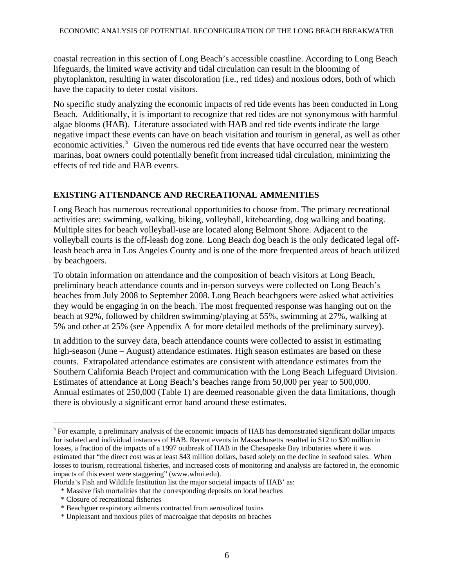coastal recreation in this section of Long Beach's accessible coastline. According to Long Beach lifeguards, the limited wave activity and tidal circulation can result in the blooming of phytoplankton, resulting in water discoloration (i.e., red tides) and noxious odors, both of which have the capacity to deter costal visitors.

No specific study analyzing the economic impacts of red tide events has been conducted in Long Beach. Additionally, it is important to recognize that red tides are not synonymous with harmful algae blooms (HAB). Literature associated with HAB and red tide events indicate the large negative impact these events can have on beach visitation and tourism in general, as well as other economic activities.<sup>[5](#page-5-0)</sup> Given the numerous red tide events that have occurred near the western marinas, boat owners could potentially benefit from increased tidal circulation, minimizing the effects of red tide and HAB events.

### **EXISTING ATTENDANCE AND RECREATIONAL AMMENITIES**

Long Beach has numerous recreational opportunities to choose from. The primary recreational activities are: swimming, walking, biking, volleyball, kiteboarding, dog walking and boating. Multiple sites for beach volleyball-use are located along Belmont Shore. Adjacent to the volleyball courts is the off-leash dog zone. Long Beach dog beach is the only dedicated legal offleash beach area in Los Angeles County and is one of the more frequented areas of beach utilized by beachgoers.

To obtain information on attendance and the composition of beach visitors at Long Beach, preliminary beach attendance counts and in-person surveys were collected on Long Beach's beaches from July 2008 to September 2008. Long Beach beachgoers were asked what activities they would be engaging in on the beach. The most frequented response was hanging out on the beach at 92%, followed by children swimming/playing at 55%, swimming at 27%, walking at 5% and other at 25% (see Appendix A for more detailed methods of the preliminary survey).

In addition to the survey data, beach attendance counts were collected to assist in estimating high-season (June – August) attendance estimates. High season estimates are based on these counts. Extrapolated attendance estimates are consistent with attendance estimates from the Southern California Beach Project and communication with the Long Beach Lifeguard Division. Estimates of attendance at Long Beach's beaches range from 50,000 per year to 500,000. Annual estimates of 250,000 (Table 1) are deemed reasonable given the data limitations, though there is obviously a significant error band around these estimates.

\* Closure of recreational fisheries

<span id="page-5-0"></span> $<sup>5</sup>$  For example, a preliminary analysis of the economic impacts of HAB has demonstrated significant dollar impacts</sup> for isolated and individual instances of HAB. Recent events in Massachusetts resulted in \$12 to \$20 million in losses, a fraction of the impacts of a 1997 outbreak of HAB in the Chesapeake Bay tributaries where it was estimated that "the direct cost was at least \$43 million dollars, based solely on the decline in seafood sales. When losses to tourism, recreational fisheries, and increased costs of monitoring and analysis are factored in, the economic impacts of this event were staggering" (www.whoi.edu).

Florida's Fish and Wildlife Institution list the major societal impacts of HAB' as:

 <sup>\*</sup> Massive fish mortalities that the corresponding deposits on local beaches

 <sup>\*</sup> Beachgoer respiratory ailments contracted from aerosolized toxins

 <sup>\*</sup> Unpleasant and noxious piles of macroalgae that deposits on beaches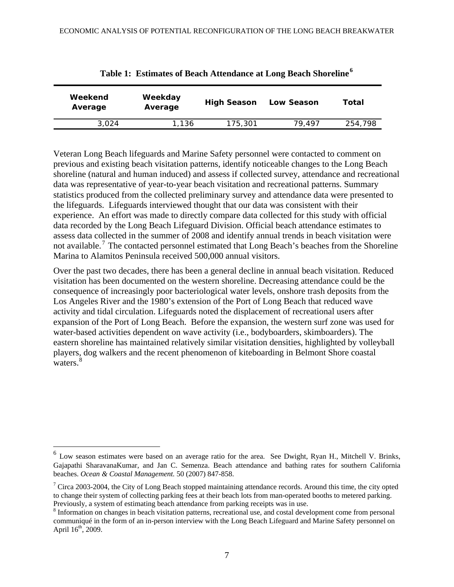| Weekend<br>Average | Weekday<br>Average | <b>High Season</b> | Low Season | Total   |
|--------------------|--------------------|--------------------|------------|---------|
| 3.024              | 1.136              | 175,301            | 79.497     | 254,798 |

|  | Table 1: Estimates of Beach Attendance at Long Beach Shoreline $^6$ |  |  |
|--|---------------------------------------------------------------------|--|--|
|  |                                                                     |  |  |

Veteran Long Beach lifeguards and Marine Safety personnel were contacted to comment on previous and existing beach visitation patterns, identify noticeable changes to the Long Beach shoreline (natural and human induced) and assess if collected survey, attendance and recreational data was representative of year-to-year beach visitation and recreational patterns. Summary statistics produced from the collected preliminary survey and attendance data were presented to the lifeguards. Lifeguards interviewed thought that our data was consistent with their experience. An effort was made to directly compare data collected for this study with official data recorded by the Long Beach Lifeguard Division. Official beach attendance estimates to assess data collected in the summer of 2008 and identify annual trends in beach visitation were not available.<sup>[7](#page-6-1)</sup> The contacted personnel estimated that Long Beach's beaches from the Shoreline Marina to Alamitos Peninsula received 500,000 annual visitors.

Over the past two decades, there has been a general decline in annual beach visitation. Reduced visitation has been documented on the western shoreline. Decreasing attendance could be the consequence of increasingly poor bacteriological water levels, onshore trash deposits from the Los Angeles River and the 1980's extension of the Port of Long Beach that reduced wave activity and tidal circulation. Lifeguards noted the displacement of recreational users after expansion of the Port of Long Beach. Before the expansion, the western surf zone was used for water-based activities dependent on wave activity (i.e., bodyboarders, skimboarders). The eastern shoreline has maintained relatively similar visitation densities, highlighted by volleyball players, dog walkers and the recent phenomenon of kiteboarding in Belmont Shore coastal waters<sup>[8](#page-6-2)</sup>

<span id="page-6-0"></span> $6$  Low season estimates were based on an average ratio for the area. See Dwight, Ryan H., Mitchell V. Brinks, Gajapathi SharavanaKumar, and Jan C. Semenza. Beach attendance and bathing rates for southern California beaches. *Ocean & Coastal Management.* 50 (2007) 847-858.

<span id="page-6-1"></span> $7$  Circa 2003-2004, the City of Long Beach stopped maintaining attendance records. Around this time, the city opted to change their system of collecting parking fees at their beach lots from man-operated booths to metered parking. Previously, a system of estimating beach attendance from parking receipts was in use.

<span id="page-6-2"></span><sup>&</sup>lt;sup>8</sup> Information on changes in beach visitation patterns, recreational use, and costal development come from personal communiqué in the form of an in-person interview with the Long Beach Lifeguard and Marine Safety personnel on April  $16^{th}$ , 2009.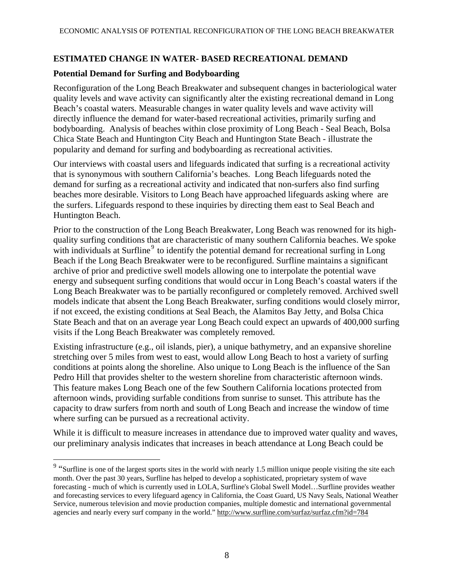### **ESTIMATED CHANGE IN WATER- BASED RECREATIONAL DEMAND**

### **Potential Demand for Surfing and Bodyboarding**

 $\overline{a}$ 

Reconfiguration of the Long Beach Breakwater and subsequent changes in bacteriological water quality levels and wave activity can significantly alter the existing recreational demand in Long Beach's coastal waters. Measurable changes in water quality levels and wave activity will directly influence the demand for water-based recreational activities, primarily surfing and bodyboarding. Analysis of beaches within close proximity of Long Beach - Seal Beach, Bolsa Chica State Beach and Huntington City Beach and Huntington State Beach - illustrate the popularity and demand for surfing and bodyboarding as recreational activities.

Our interviews with coastal users and lifeguards indicated that surfing is a recreational activity that is synonymous with southern California's beaches. Long Beach lifeguards noted the demand for surfing as a recreational activity and indicated that non-surfers also find surfing beaches more desirable. Visitors to Long Beach have approached lifeguards asking where are the surfers. Lifeguards respond to these inquiries by directing them east to Seal Beach and Huntington Beach.

Prior to the construction of the Long Beach Breakwater, Long Beach was renowned for its highquality surfing conditions that are characteristic of many southern California beaches. We spoke with individuals at Surfline<sup>[9](#page-7-0)</sup> to identify the potential demand for recreational surfing in Long Beach if the Long Beach Breakwater were to be reconfigured. Surfline maintains a significant archive of prior and predictive swell models allowing one to interpolate the potential wave energy and subsequent surfing conditions that would occur in Long Beach's coastal waters if the Long Beach Breakwater was to be partially reconfigured or completely removed. Archived swell models indicate that absent the Long Beach Breakwater, surfing conditions would closely mirror, if not exceed, the existing conditions at Seal Beach, the Alamitos Bay Jetty, and Bolsa Chica State Beach and that on an average year Long Beach could expect an upwards of 400,000 surfing visits if the Long Beach Breakwater was completely removed.

Existing infrastructure (e.g., oil islands, pier), a unique bathymetry, and an expansive shoreline stretching over 5 miles from west to east, would allow Long Beach to host a variety of surfing conditions at points along the shoreline. Also unique to Long Beach is the influence of the San Pedro Hill that provides shelter to the western shoreline from characteristic afternoon winds. This feature makes Long Beach one of the few Southern California locations protected from afternoon winds, providing surfable conditions from sunrise to sunset. This attribute has the capacity to draw surfers from north and south of Long Beach and increase the window of time where surfing can be pursued as a recreational activity.

While it is difficult to measure increases in attendance due to improved water quality and waves, our preliminary analysis indicates that increases in beach attendance at Long Beach could be

<span id="page-7-0"></span><sup>&</sup>lt;sup>9</sup> "Surfline is one of the largest sports sites in the world with nearly 1.5 million unique people visiting the site each month. Over the past 30 years, Surfline has helped to develop a sophisticated, proprietary system of wave forecasting - much of which is currently used in LOLA, Surfline's Global Swell Model…Surfline provides weather and forecasting services to every lifeguard agency in California, the Coast Guard, US Navy Seals, National Weather Service, numerous television and movie production companies, multiple domestic and international governmental agencies and nearly every surf company in the world." http://www.surfline.com/surfaz/surfaz.cfm?id=784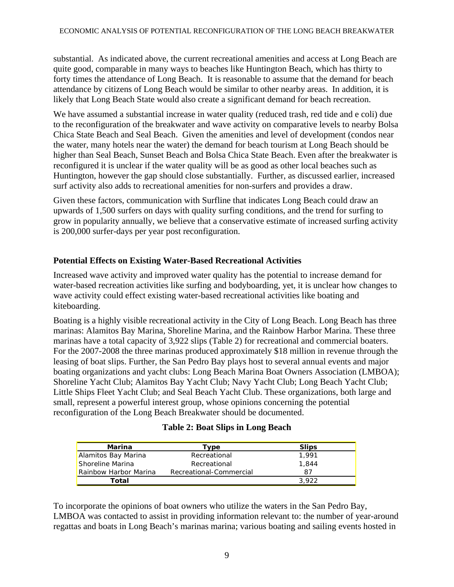substantial. As indicated above, the current recreational amenities and access at Long Beach are quite good, comparable in many ways to beaches like Huntington Beach, which has thirty to forty times the attendance of Long Beach. It is reasonable to assume that the demand for beach attendance by citizens of Long Beach would be similar to other nearby areas. In addition, it is likely that Long Beach State would also create a significant demand for beach recreation.

We have assumed a substantial increase in water quality (reduced trash, red tide and e coli) due to the reconfiguration of the breakwater and wave activity on comparative levels to nearby Bolsa Chica State Beach and Seal Beach. Given the amenities and level of development (condos near the water, many hotels near the water) the demand for beach tourism at Long Beach should be higher than Seal Beach, Sunset Beach and Bolsa Chica State Beach. Even after the breakwater is reconfigured it is unclear if the water quality will be as good as other local beaches such as Huntington, however the gap should close substantially. Further, as discussed earlier, increased surf activity also adds to recreational amenities for non-surfers and provides a draw.

Given these factors, communication with Surfline that indicates Long Beach could draw an upwards of 1,500 surfers on days with quality surfing conditions, and the trend for surfing to grow in popularity annually, we believe that a conservative estimate of increased surfing activity is 200,000 surfer-days per year post reconfiguration.

# **Potential Effects on Existing Water-Based Recreational Activities**

Increased wave activity and improved water quality has the potential to increase demand for water-based recreation activities like surfing and bodyboarding, yet, it is unclear how changes to wave activity could effect existing water-based recreational activities like boating and kiteboarding.

Boating is a highly visible recreational activity in the City of Long Beach. Long Beach has three marinas: Alamitos Bay Marina, Shoreline Marina, and the Rainbow Harbor Marina. These three marinas have a total capacity of 3,922 slips (Table 2) for recreational and commercial boaters. For the 2007-2008 the three marinas produced approximately \$18 million in revenue through the leasing of boat slips. Further, the San Pedro Bay plays host to several annual events and major boating organizations and yacht clubs: Long Beach Marina Boat Owners Association (LMBOA); Shoreline Yacht Club; Alamitos Bay Yacht Club; Navy Yacht Club; Long Beach Yacht Club; Little Ships Fleet Yacht Club; and Seal Beach Yacht Club. These organizations, both large and small, represent a powerful interest group, whose opinions concerning the potential reconfiguration of the Long Beach Breakwater should be documented.

| Marina                | туре                    | <b>Slips</b> |
|-----------------------|-------------------------|--------------|
| Alamitos Bay Marina   | Recreational            | 1.991        |
| Shoreline Marina      | Recreational            | 1,844        |
| Rainbow Harbor Marina | Recreational-Commercial | 87           |
| Total                 |                         | 3.922        |

To incorporate the opinions of boat owners who utilize the waters in the San Pedro Bay, LMBOA was contacted to assist in providing information relevant to: the number of year-around regattas and boats in Long Beach's marinas marina; various boating and sailing events hosted in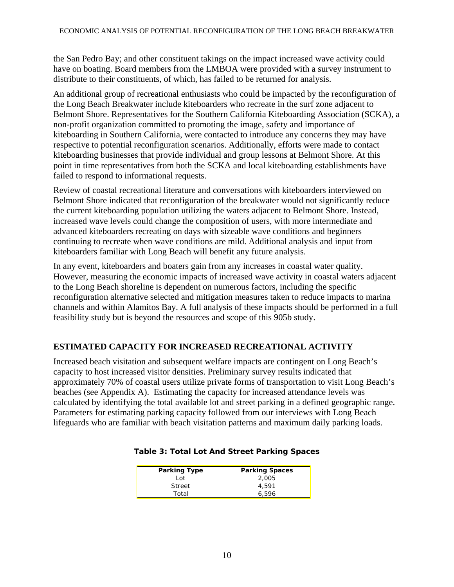the San Pedro Bay; and other constituent takings on the impact increased wave activity could have on boating. Board members from the LMBOA were provided with a survey instrument to distribute to their constituents, of which, has failed to be returned for analysis.

An additional group of recreational enthusiasts who could be impacted by the reconfiguration of the Long Beach Breakwater include kiteboarders who recreate in the surf zone adjacent to Belmont Shore. Representatives for the Southern California Kiteboarding Association (SCKA), a non-profit organization committed to promoting the image, safety and importance of kiteboarding in Southern California, were contacted to introduce any concerns they may have respective to potential reconfiguration scenarios. Additionally, efforts were made to contact kiteboarding businesses that provide individual and group lessons at Belmont Shore. At this point in time representatives from both the SCKA and local kiteboarding establishments have failed to respond to informational requests.

Review of coastal recreational literature and conversations with kiteboarders interviewed on Belmont Shore indicated that reconfiguration of the breakwater would not significantly reduce the current kiteboarding population utilizing the waters adjacent to Belmont Shore. Instead, increased wave levels could change the composition of users, with more intermediate and advanced kiteboarders recreating on days with sizeable wave conditions and beginners continuing to recreate when wave conditions are mild. Additional analysis and input from kiteboarders familiar with Long Beach will benefit any future analysis.

In any event, kiteboarders and boaters gain from any increases in coastal water quality. However, measuring the economic impacts of increased wave activity in coastal waters adjacent to the Long Beach shoreline is dependent on numerous factors, including the specific reconfiguration alternative selected and mitigation measures taken to reduce impacts to marina channels and within Alamitos Bay. A full analysis of these impacts should be performed in a full feasibility study but is beyond the resources and scope of this 905b study.

# **ESTIMATED CAPACITY FOR INCREASED RECREATIONAL ACTIVITY**

Increased beach visitation and subsequent welfare impacts are contingent on Long Beach's capacity to host increased visitor densities. Preliminary survey results indicated that approximately 70% of coastal users utilize private forms of transportation to visit Long Beach's beaches (see Appendix A). Estimating the capacity for increased attendance levels was calculated by identifying the total available lot and street parking in a defined geographic range. Parameters for estimating parking capacity followed from our interviews with Long Beach lifeguards who are familiar with beach visitation patterns and maximum daily parking loads.

| <b>Parking Type</b> | <b>Parking Spaces</b> |
|---------------------|-----------------------|
| Lot                 | 2,005                 |
| Street              | 4,591                 |
| Total               | 6.596                 |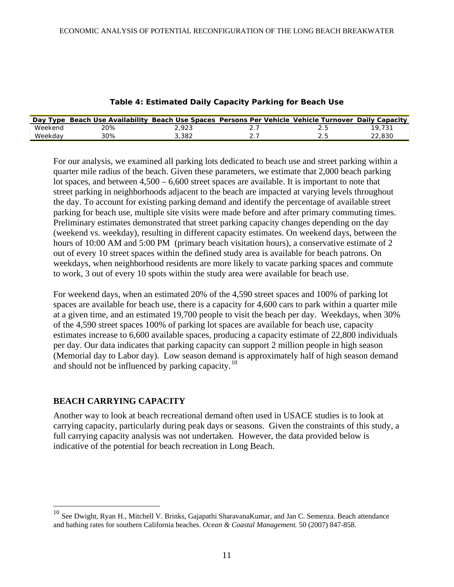| Day Type | Beach Use Availability Beach Use Spaces Persons Per Vehicle Vehicle Turnover Daily Capacity |    |  |       |
|----------|---------------------------------------------------------------------------------------------|----|--|-------|
| Weekend  | ?ዐ%                                                                                         | റാ |  |       |
|          | 30%                                                                                         |    |  | 830.؛ |

#### **Table 4: Estimated Daily Capacity Parking for Beach Use**

For our analysis, we examined all parking lots dedicated to beach use and street parking within a quarter mile radius of the beach. Given these parameters, we estimate that 2,000 beach parking lot spaces, and between  $4,500 - 6,600$  street spaces are available. It is important to note that street parking in neighborhoods adjacent to the beach are impacted at varying levels throughout the day. To account for existing parking demand and identify the percentage of available street parking for beach use, multiple site visits were made before and after primary commuting times. Preliminary estimates demonstrated that street parking capacity changes depending on the day (weekend vs. weekday), resulting in different capacity estimates. On weekend days, between the hours of 10:00 AM and 5:00 PM (primary beach visitation hours), a conservative estimate of 2 out of every 10 street spaces within the defined study area is available for beach patrons. On weekdays, when neighborhood residents are more likely to vacate parking spaces and commute to work, 3 out of every 10 spots within the study area were available for beach use.

For weekend days, when an estimated 20% of the 4,590 street spaces and 100% of parking lot spaces are available for beach use, there is a capacity for 4,600 cars to park within a quarter mile at a given time, and an estimated 19,700 people to visit the beach per day. Weekdays, when 30% of the 4,590 street spaces 100% of parking lot spaces are available for beach use, capacity estimates increase to 6,600 available spaces, producing a capacity estimate of 22,800 individuals per day. Our data indicates that parking capacity can support 2 million people in high season (Memorial day to Labor day). Low season demand is approximately half of high season demand and should not be influenced by parking capacity.<sup>[10](#page-10-0)</sup>

### **BEACH CARRYING CAPACITY**

 $\overline{a}$ 

Another way to look at beach recreational demand often used in USACE studies is to look at carrying capacity, particularly during peak days or seasons. Given the constraints of this study, a full carrying capacity analysis was not undertaken. However, the data provided below is indicative of the potential for beach recreation in Long Beach.

<span id="page-10-0"></span><sup>&</sup>lt;sup>10</sup> See Dwight, Ryan H., Mitchell V. Brinks, Gajapathi SharavanaKumar, and Jan C. Semenza. Beach attendance and bathing rates for southern California beaches. *Ocean & Coastal Management.* 50 (2007) 847-858.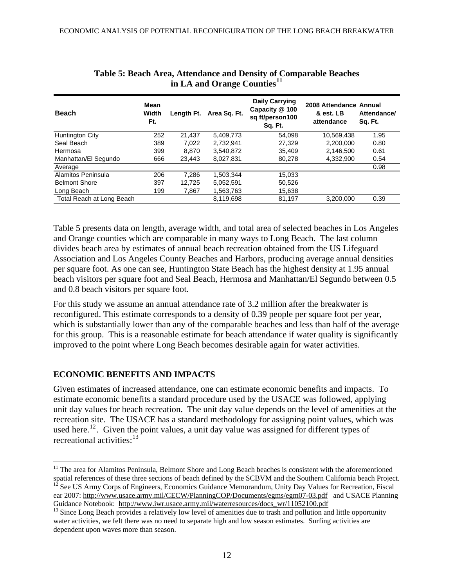| <b>Beach</b>              | Mean<br>Width<br>Ft. | Length Ft. | Area Sq. Ft. | <b>Daily Carrying</b><br>Capacity @ 100<br>sq ft/person100<br>Sq. Ft. | 2008 Attendance Annual<br>& est. LB<br>attendance | Attendance/<br>Sq. Ft. |
|---------------------------|----------------------|------------|--------------|-----------------------------------------------------------------------|---------------------------------------------------|------------------------|
| Huntington City           | 252                  | 21.437     | 5.409.773    | 54.098                                                                | 10,569,438                                        | 1.95                   |
| Seal Beach                | 389                  | 7,022      | 2.732.941    | 27,329                                                                | 2,200,000                                         | 0.80                   |
| Hermosa                   | 399                  | 8.870      | 3.540.872    | 35.409                                                                | 2.146.500                                         | 0.61                   |
| Manhattan/El Segundo      | 666                  | 23.443     | 8.027.831    | 80,278                                                                | 4,332,900                                         | 0.54                   |
| Average                   |                      |            |              |                                                                       |                                                   | 0.98                   |
| Alamitos Peninsula        | 206                  | 7.286      | 1.503.344    | 15.033                                                                |                                                   |                        |
| <b>Belmont Shore</b>      | 397                  | 12.725     | 5.052.591    | 50.526                                                                |                                                   |                        |
| Long Beach                | 199                  | 7,867      | 1,563,763    | 15,638                                                                |                                                   |                        |
| Total Reach at Long Beach |                      |            | 8,119,698    | 81,197                                                                | 3.200.000                                         | 0.39                   |

| Table 5: Beach Area, Attendance and Density of Comparable Beaches |
|-------------------------------------------------------------------|
| in LA and Orange Counties <sup>11</sup>                           |

Table 5 presents data on length, average width, and total area of selected beaches in Los Angeles and Orange counties which are comparable in many ways to Long Beach. The last column divides beach area by estimates of annual beach recreation obtained from the US Lifeguard Association and Los Angeles County Beaches and Harbors, producing average annual densities per square foot. As one can see, Huntington State Beach has the highest density at 1.95 annual beach visitors per square foot and Seal Beach, Hermosa and Manhattan/El Segundo between 0.5 and 0.8 beach visitors per square foot.

For this study we assume an annual attendance rate of 3.2 million after the breakwater is reconfigured. This estimate corresponds to a density of 0.39 people per square foot per year, which is substantially lower than any of the comparable beaches and less than half of the average for this group. This is a reasonable estimate for beach attendance if water quality is significantly improved to the point where Long Beach becomes desirable again for water activities.

# **ECONOMIC BENEFITS AND IMPACTS**

 $\overline{a}$ 

Given estimates of increased attendance, one can estimate economic benefits and impacts. To estimate economic benefits a standard procedure used by the USACE was followed, applying unit day values for beach recreation. The unit day value depends on the level of amenities at the recreation site. The USACE has a standard methodology for assigning point values, which was used here.<sup>[12](#page-11-1)</sup>. Given the point values, a unit day value was assigned for different types of [recreational activities:](#page-11-2)<sup>[13](#page-11-2)</sup>

<span id="page-11-1"></span><span id="page-11-0"></span><sup>&</sup>lt;sup>11</sup> The area for Alamitos Peninsula, Belmont Shore and Long Beach beaches is consistent with the aforementioned spatial references of these three sections of beach defined by the SCBVM and the Southern California beach Project. <sup>12</sup> See US Army Corps of Engineers, Economics Guidance Memorandum, Unity Day Values for Recreation, Fisca ear 2007: http://www.usace.army.mil/CECW/PlanningCOP/Documents/egms/egm07-03.pdf and USACE Planning Guidance Notebook: http://www.iwr.usace.army.mil/waterresources/docs\_wr/11052100.pdf<br><sup>13</sup> Since Long Beach provides a relatively low level of amenities due to trash and pollution and little opportunity

<span id="page-11-2"></span>water activities, we felt there was no need to separate high and low season estimates. Surfing activities are dependent upon waves more than season.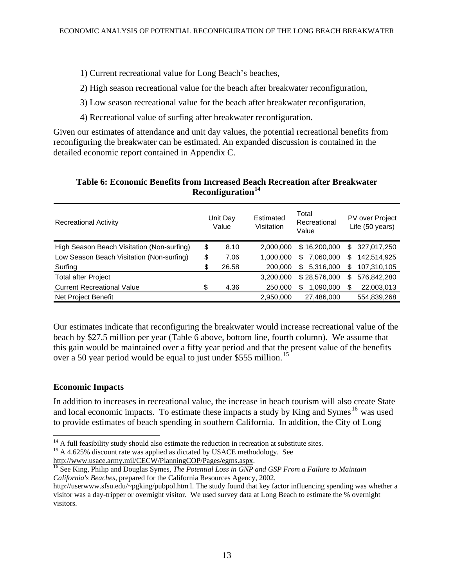#### 1) Current recreational value for Long Beach's beaches,

2) High season recreational value for the beach after breakwater reconfiguration,

3) Low season recreational value for the beach after breakwater reconfiguration,

4) Recreational value of surfing after breakwater reconfiguration.

Given our estimates of attendance and unit day values, the potential recreational benefits from reconfiguring the breakwater can be estimated. An expanded discussion is contained in the detailed economic report contained in Appendix C.

| <b>Recreational Activity</b>               | Unit Day<br>Value | Estimated<br>Visitation | Total<br>Recreational<br>Value | PV over Project<br>Life (50 years) |             |  |  |
|--------------------------------------------|-------------------|-------------------------|--------------------------------|------------------------------------|-------------|--|--|
| High Season Beach Visitation (Non-surfing) | \$<br>8.10        | 2,000,000               | \$16,200,000                   | \$                                 | 327,017,250 |  |  |
| Low Season Beach Visitation (Non-surfing)  | \$<br>7.06        | 1.000.000               | 7,060,000<br>\$.               | \$                                 | 142,514,925 |  |  |
| Surfing                                    | \$<br>26.58       | 200,000                 | 5,316,000<br>\$                | \$                                 | 107,310,105 |  |  |
| <b>Total after Project</b>                 |                   | 3.200.000               | \$28,576,000                   | S                                  | 576,842,280 |  |  |
| <b>Current Recreational Value</b>          | \$<br>4.36        | 250,000                 | 1,090,000<br>S                 | S                                  | 22,003,013  |  |  |
| Net Project Benefit                        |                   | 2,950,000               | 27.486.000                     |                                    | 554,839,268 |  |  |

#### **Table 6: Economic Benefits from Increased Beach Recreation after Breakwater Reconfiguration[14](#page-12-0)**

Our estimates indicate that reconfiguring the breakwater would increase recreational value of the beach by \$27.5 million per year (Table 6 above, bottom line, fourth column). We assume that this gain would be maintained over a fifty year period and that the present value of the benefits over a 50 year period would be equal to just under \$555 million.<sup>[15](#page-12-1)</sup>

### **Economic Impacts**

In addition to increases in recreational value, the increase in beach tourism will also create State and local economic impacts. To estimate these impacts a study by King and Symes<sup>[16](#page-12-2)</sup> was used to provide estimates of beach spending in southern California. In addition, the City of Long

<span id="page-12-2"></span><sup>16</sup> See King, Philip and Douglas Symes, *The Potential Loss in GNP and GSP From a Failure to Maintain California's Beaches*, prepared for the California Resources Agency, 2002,

<span id="page-12-0"></span> $14$  A full feasibility study should also estimate the reduction in recreation at substitute sites.

<span id="page-12-1"></span><sup>&</sup>lt;sup>15</sup> A 4.625% discount rate was applied as dictated by USACE methodology. See http://www.usace.army.mil/CECW/PlanningCOP/Pages/egms.aspx.

http://userwww.sfsu.edu/~pgking/pubpol.html. The study found that key factor influencing spending was whether a [visitor was a day-tripper or overnight visitor. We used survey data at Long Beach to estimate the % overnight](http://userwww.sfsu.edu/%7Epgking/pubpol.htm)  [visitors.](http://userwww.sfsu.edu/%7Epgking/pubpol.htm)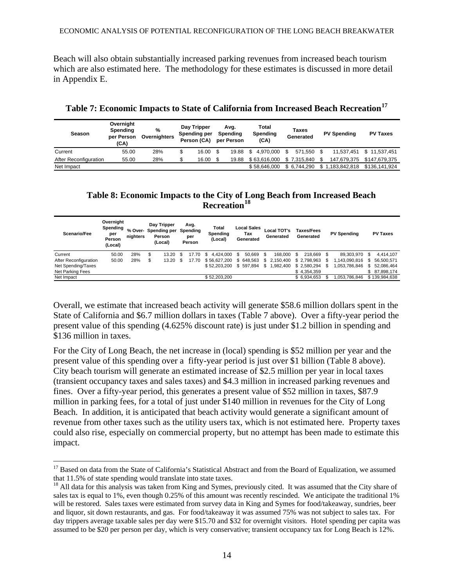Beach will also obtain substantially increased parking revenues from increased beach tourism which are also estimated here. The methodology for these estimates is discussed in more detail in Appendix E.

| Season                | Overnight<br>Spending<br>per Person<br>(CA) | %<br>Overnighters | Day Tripper<br>Spending per<br>Person (CA) | Total<br>Avg.<br>Spendina<br>Spending<br>(CA)<br>per Person |                 | Taxes<br>Generated |      | <b>PV Spending</b> | <b>PV Taxes</b> |  |
|-----------------------|---------------------------------------------|-------------------|--------------------------------------------|-------------------------------------------------------------|-----------------|--------------------|------|--------------------|-----------------|--|
| Current               | 55.00                                       | 28%               | 16.00                                      | 19.88                                                       | 4.970.000<br>-S | \$<br>571.550      |      | 11.537.451         | \$11.537.451    |  |
| After Reconfiguration | 55.00                                       | 28%               | 16.00                                      | 19.88                                                       | \$63.616.000    | \$7.315.840        | - \$ | 147.679.375        | \$147.679.375   |  |
| Net Impact            |                                             |                   |                                            |                                                             | \$58,646,000    | \$ 6.744.290       |      | \$1,183,842,818    | \$136.141.924   |  |

**Table 7: Economic Impacts to State of California from Increased Beach Recreation[17](#page-13-0)**

### **Table 8: Economic Impacts to the City of Long Beach from Increased Beach Recreation[18](#page-13-1)**

| Scenario/Fee          | Overnight<br>Spending<br>per<br>Person<br>(Local) | % Over-<br>nighters | Day Tripper<br>Spending per<br>Person<br>(Local) | Avg.<br>Spending<br>per<br>Person | Total<br>Spending<br>(Local) | Local Sales<br>Tax<br>Generated |      | Local TOT's<br>Generated |      | <b>Taxes/Fees</b><br>Generated |     | <b>PV Spending</b> |    | <b>PV Taxes</b> |
|-----------------------|---------------------------------------------------|---------------------|--------------------------------------------------|-----------------------------------|------------------------------|---------------------------------|------|--------------------------|------|--------------------------------|-----|--------------------|----|-----------------|
| Current               | 50.00                                             | 28%                 | \$<br>13.20                                      | 17.70                             | $$4.424.000$ \$              | 50.669                          | - \$ | 168.000                  | - \$ | 218.669 \$                     |     | 89.303.970         | -S | 4.414.107       |
| After Reconfiguration | 50.00                                             | 28%                 | \$<br>$13.20$ \$                                 | 17.70                             | \$56.627.200                 | \$648.563                       | \$.  | 2.150.400                |      | \$2.798.963                    | \$. | 1.143.090.816      | \$ | 56.500.571      |
| Net Spending/Taxes    |                                                   |                     |                                                  |                                   | \$52.203.200                 | \$597.894                       | \$   | 982,400.                 |      | \$2.580.294                    | -SS | 1.053.786.846      |    | \$52,086,464    |
| Net Parking Fees      |                                                   |                     |                                                  |                                   |                              |                                 |      |                          |      | \$4.354.359                    |     |                    |    | \$ 87,898,174   |
| Net Impact            |                                                   |                     |                                                  |                                   | \$52,203,200                 |                                 |      |                          |      | \$6.934.653                    |     | 1.053.786.846      |    | \$139,984,638   |

Overall, we estimate that increased beach activity will generate \$58.6 million dollars spent in the State of California and \$6.7 million dollars in taxes (Table 7 above). Over a fifty-year period the present value of this spending (4.625% discount rate) is just under \$1.2 billion in spending and \$136 million in taxes.

For the City of Long Beach, the net increase in (local) spending is \$52 million per year and the present value of this spending over a fifty-year period is just over \$1 billion (Table 8 above). City beach tourism will generate an estimated increase of \$2.5 million per year in local taxes (transient occupancy taxes and sales taxes) and \$4.3 million in increased parking revenues and fines. Over a fifty-year period, this generates a present value of \$52 million in taxes, \$87.9 million in parking fees, for a total of just under \$140 million in revenues for the City of Long Beach. In addition, it is anticipated that beach activity would generate a significant amount of revenue from other taxes such as the utility users tax, which is not estimated here. Property taxes could also rise, especially on commercial property, but no attempt has been made to estimate this impact.

<span id="page-13-0"></span><sup>&</sup>lt;sup>17</sup> Based on data from the State of California's Statistical Abstract and from the Board of Equalization, we assumed that 11.5% of state spending would translate into state taxes.<br><sup>18</sup> All data for this analysis was taken from King and Symes, previously cited. It was assumed that the City share of

<span id="page-13-1"></span>sales tax is equal to 1%, even though 0.25% of this amount was recently rescinded. We anticipate the traditional 1% will be restored. Sales taxes were estimated from survey data in King and Symes for food/takeaway, sundries, beer and liquor, sit down restaurants, and gas. For food/takeaway it was assumed 75% was not subject to sales tax. For day trippers average taxable sales per day were \$15.70 and \$32 for overnight visitors. Hotel spending per capita was assumed to be \$20 per person per day, which is very conservative; transient occupancy tax for Long Beach is 12%.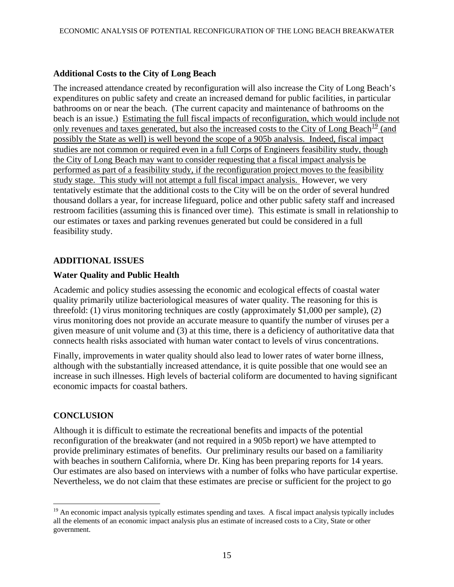### **Additional Costs to the City of Long Beach**

The increased attendance created by reconfiguration will also increase the City of Long Beach's expenditures on public safety and create an increased demand for public facilities, in particular bathrooms on or near the beach. (The current capacity and maintenance of bathrooms on the beach is an issue.) Estimating the full fiscal impacts of reconfiguration, which would include not only revenues and taxes generated, but also the increased costs to the City of Long Beach<sup>[19](#page-14-0)</sup> (and possibly the State as well) is well beyond the scope of a 905b analysis. Indeed, fiscal impact studies are not common or required even in a full Corps of Engineers feasibility study, though the City of Long Beach may want to consider requesting that a fiscal impact analysis be performed as part of a feasibility study, if the reconfiguration project moves to the feasibility study stage. This study will not attempt a full fiscal impact analysis. However, we very tentatively estimate that the additional costs to the City will be on the order of several hundred thousand dollars a year, for increase lifeguard, police and other public safety staff and increased restroom facilities (assuming this is financed over time). This estimate is small in relationship to our estimates or taxes and parking revenues generated but could be considered in a full feasibility study.

### **ADDITIONAL ISSUES**

### **Water Quality and Public Health**

Academic and policy studies assessing the economic and ecological effects of coastal water quality primarily utilize bacteriological measures of water quality. The reasoning for this is threefold: (1) virus monitoring techniques are costly (approximately \$1,000 per sample), (2) virus monitoring does not provide an accurate measure to quantify the number of viruses per a given measure of unit volume and (3) at this time, there is a deficiency of authoritative data that connects health risks associated with human water contact to levels of virus concentrations.

Finally, improvements in water quality should also lead to lower rates of water borne illness, although with the substantially increased attendance, it is quite possible that one would see an increase in such illnesses. High levels of bacterial coliform are documented to having significant economic impacts for coastal bathers.

# **CONCLUSION**

 $\overline{a}$ 

Although it is difficult to estimate the recreational benefits and impacts of the potential reconfiguration of the breakwater (and not required in a 905b report) we have attempted to provide preliminary estimates of benefits. Our preliminary results our based on a familiarity with beaches in southern California, where Dr. King has been preparing reports for 14 years. Our estimates are also based on interviews with a number of folks who have particular expertise. Nevertheless, we do not claim that these estimates are precise or sufficient for the project to go

<span id="page-14-0"></span> $19$  An economic impact analysis typically estimates spending and taxes. A fiscal impact analysis typically includes all the elements of an economic impact analysis plus an estimate of increased costs to a City, State or other government.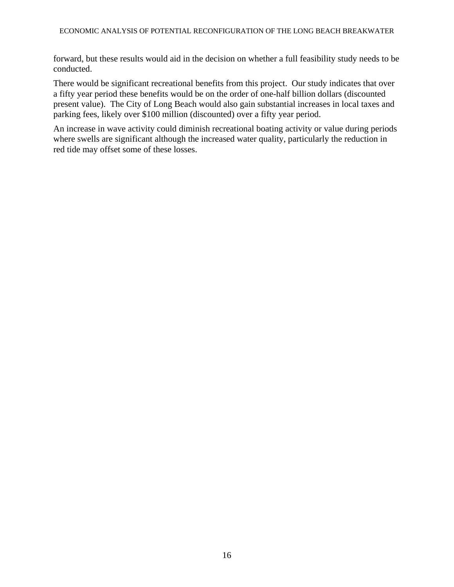forward, but these results would aid in the decision on whether a full feasibility study needs to be conducted.

There would be significant recreational benefits from this project. Our study indicates that over a fifty year period these benefits would be on the order of one-half billion dollars (discounted present value). The City of Long Beach would also gain substantial increases in local taxes and parking fees, likely over \$100 million (discounted) over a fifty year period.

An increase in wave activity could diminish recreational boating activity or value during periods where swells are significant although the increased water quality, particularly the reduction in red tide may offset some of these losses.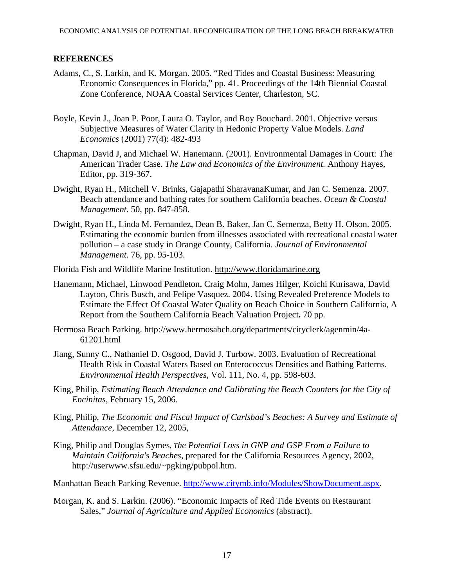#### **REFERENCES**

- Adams, C., S. Larkin, and K. Morgan. 2005. "Red Tides and Coastal Business: Measuring Economic Consequences in Florida," pp. 41. Proceedings of the 14th Biennial Coastal Zone Conference, NOAA Coastal Services Center, Charleston, SC.
- Boyle, Kevin J., Joan P. Poor, Laura O. Taylor, and Roy Bouchard. 2001. Objective versus Subjective Measures of Water Clarity in Hedonic Property Value Models. *Land Economics* (2001) 77(4): 482-493
- Chapman, David J, and Michael W. Hanemann. (2001). Environmental Damages in Court: The American Trader Case. *The Law and Economics of the Environment.* Anthony Hayes, Editor, pp. 319-367.
- Dwight, Ryan H., Mitchell V. Brinks, Gajapathi SharavanaKumar, and Jan C. Semenza. 2007. Beach attendance and bathing rates for southern California beaches. *Ocean & Coastal Management.* 50, pp. 847-858.
- Dwight, Ryan H., Linda M. Fernandez, Dean B. Baker, Jan C. Semenza, Betty H. Olson. 2005. Estimating the economic burden from illnesses associated with recreational coastal water pollution – a case study in Orange County, California. *Journal of Environmental Management.* 76, pp. 95-103.
- Florida Fish and Wildlife Marine Institution. http://www.floridamarine.org
- Hanemann, Michael, Linwood Pendleton, Craig Mohn, James Hilger, Koichi Kurisawa, David Layton, Chris Busch, and Felipe Vasquez. 2004. Using Revealed Preference Models to Estimate the Effect Of Coastal Water Quality on Beach Choice in Southern California, A Report from the Southern California Beach Valuation Project**.** 70 pp.
- Hermosa Beach Parking. http://www.hermosabch.org/departments/cityclerk/agenmin/4a-61201.html
- Jiang, Sunny C., Nathaniel D. Osgood, David J. Turbow. 2003. Evaluation of Recreational Health Risk in Coastal Waters Based on Enterococcus Densities and Bathing Patterns. *Environmental Health Perspectives,* Vol. 111, No. 4, pp. 598-603.
- King, Philip, *Estimating Beach Attendance and Calibrating the Beach Counters for the City of Encinitas*, February 15, 2006.
- King, Philip, *The Economic and Fiscal Impact of Carlsbad's Beaches: A Survey and Estimate of Attendance*, December 12, 2005,
- King, Philip and Douglas Symes, *The Potential Loss in GNP and GSP From a Failure to Maintain California's Beaches*, prepared for the California Resources Agency, 2002, http://userwww.sfsu.edu/~pgking/pubpol.htm.
- Manhattan Beach Parking Revenue. [http://www.citymb.info/Modules/ShowDocument.aspx.](http://www.citymb.info/Modules/ShowDocument.aspx)
- Morgan, K. and S. Larkin. (2006). "Economic Impacts of Red Tide Events on Restaurant Sales," *Journal of Agriculture and Applied Economics* (abstract).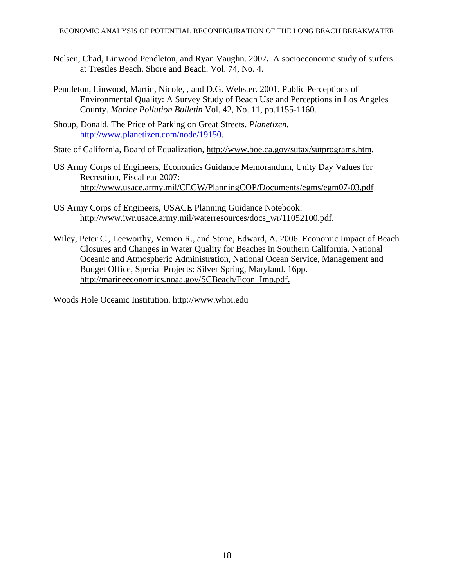- Nelsen, Chad, Linwood Pendleton, and Ryan Vaughn. 2007**.** A socioeconomic study of surfers at Trestles Beach. Shore and Beach. Vol. 74, No. 4.
- Pendleton, Linwood, Martin, Nicole, , and D.G. Webster. 2001. Public Perceptions of Environmental Quality: A Survey Study of Beach Use and Perceptions in Los Angeles County. *Marine Pollution Bulletin* Vol. 42, No. 11, pp.1155-1160.
- Shoup, Donald. The Price of Parking on Great Streets. *Planetizen.*  [http://www.planetizen.com/node/19150.](http://www.planetizen.com/node/19150)

State of California, Board of Equalization, http://www.boe.ca.gov/sutax/sutprograms.htm.

- US Army Corps of Engineers, Economics Guidance Memorandum, Unity Day Values for Recreation, Fiscal ear 2007: http://www.usace.army.mil/CECW/PlanningCOP/Documents/egms/egm07-03.pdf
- US Army Corps of Engineers, USACE Planning Guidance Notebook: http://www.iwr.usace.army.mil/waterresources/docs\_wr/11052100.pdf.
- Wiley, Peter C., Leeworthy, Vernon R., and Stone, Edward, A. 2006. Economic Impact of Beach Closures and Changes in Water Quality for Beaches in Southern California. National Oceanic and Atmospheric Administration, National Ocean Service, Management and Budget Office, Special Projects: Silver Spring, Maryland. 16pp. http://marineeconomics.noaa.gov/SCBeach/Econ\_Imp.pdf.

Woods Hole Oceanic Institution. http://www.whoi.edu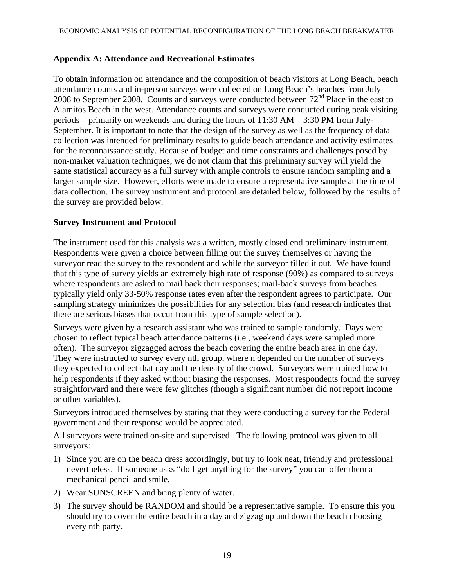#### **Appendix A: Attendance and Recreational Estimates**

To obtain information on attendance and the composition of beach visitors at Long Beach, beach attendance counts and in-person surveys were collected on Long Beach's beaches from July 2008 to September 2008. Counts and surveys were conducted between  $72<sup>nd</sup>$  Place in the east to Alamitos Beach in the west. Attendance counts and surveys were conducted during peak visiting periods – primarily on weekends and during the hours of 11:30 AM – 3:30 PM from July-September. It is important to note that the design of the survey as well as the frequency of data collection was intended for preliminary results to guide beach attendance and activity estimates for the reconnaissance study. Because of budget and time constraints and challenges posed by non-market valuation techniques, we do not claim that this preliminary survey will yield the same statistical accuracy as a full survey with ample controls to ensure random sampling and a larger sample size. However, efforts were made to ensure a representative sample at the time of data collection. The survey instrument and protocol are detailed below, followed by the results of the survey are provided below.

#### **Survey Instrument and Protocol**

The instrument used for this analysis was a written, mostly closed end preliminary instrument. Respondents were given a choice between filling out the survey themselves or having the surveyor read the survey to the respondent and while the surveyor filled it out. We have found that this type of survey yields an extremely high rate of response (90%) as compared to surveys where respondents are asked to mail back their responses; mail-back surveys from beaches typically yield only 33-50% response rates even after the respondent agrees to participate. Our sampling strategy minimizes the possibilities for any selection bias (and research indicates that there are serious biases that occur from this type of sample selection).

Surveys were given by a research assistant who was trained to sample randomly. Days were chosen to reflect typical beach attendance patterns (i.e., weekend days were sampled more often). The surveyor zigzagged across the beach covering the entire beach area in one day. They were instructed to survey every nth group, where n depended on the number of surveys they expected to collect that day and the density of the crowd. Surveyors were trained how to help respondents if they asked without biasing the responses. Most respondents found the survey straightforward and there were few glitches (though a significant number did not report income or other variables).

Surveyors introduced themselves by stating that they were conducting a survey for the Federal government and their response would be appreciated.

All surveyors were trained on-site and supervised. The following protocol was given to all surveyors:

- 1) Since you are on the beach dress accordingly, but try to look neat, friendly and professional nevertheless. If someone asks "do I get anything for the survey" you can offer them a mechanical pencil and smile.
- 2) Wear SUNSCREEN and bring plenty of water.
- 3) The survey should be RANDOM and should be a representative sample. To ensure this you should try to cover the entire beach in a day and zigzag up and down the beach choosing every nth party.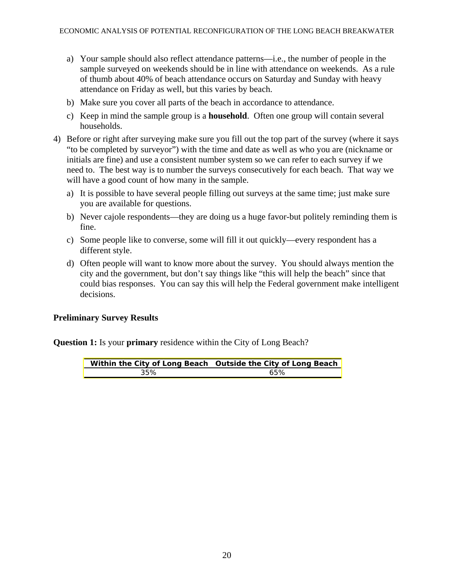- a) Your sample should also reflect attendance patterns—i.e., the number of people in the sample surveyed on weekends should be in line with attendance on weekends. As a rule of thumb about 40% of beach attendance occurs on Saturday and Sunday with heavy attendance on Friday as well, but this varies by beach.
- b) Make sure you cover all parts of the beach in accordance to attendance.
- c) Keep in mind the sample group is a **household**. Often one group will contain several households.
- 4) Before or right after surveying make sure you fill out the top part of the survey (where it says "to be completed by surveyor") with the time and date as well as who you are (nickname or initials are fine) and use a consistent number system so we can refer to each survey if we need to. The best way is to number the surveys consecutively for each beach. That way we will have a good count of how many in the sample.
	- a) It is possible to have several people filling out surveys at the same time; just make sure you are available for questions.
	- b) Never cajole respondents—they are doing us a huge favor-but politely reminding them is fine.
	- c) Some people like to converse, some will fill it out quickly—every respondent has a different style.
	- d) Often people will want to know more about the survey. You should always mention the city and the government, but don't say things like "this will help the beach" since that could bias responses. You can say this will help the Federal government make intelligent decisions.

#### **Preliminary Survey Results**

**Question 1:** Is your **primary** residence within the City of Long Beach?

|     | Within the City of Long Beach Outside the City of Long Beach |
|-----|--------------------------------------------------------------|
| 35% | 65%                                                          |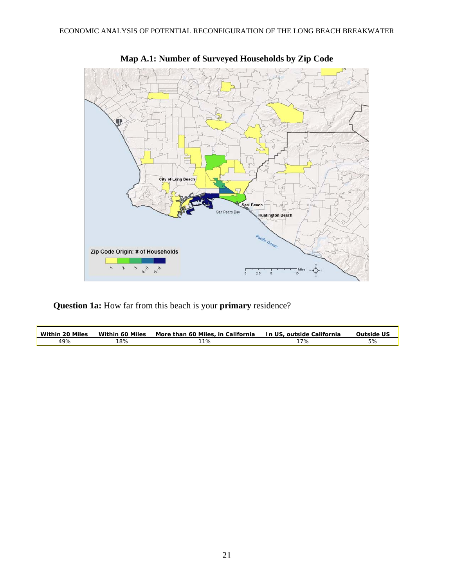



**Question 1a:** How far from this beach is your **primary** residence?

| Within 20 Miles | <b>Within 60 Miles</b> | More than 60 Miles, in California | In US, outside California | <b>Outside US</b> |
|-----------------|------------------------|-----------------------------------|---------------------------|-------------------|
| 49%             | 8%                     | ີ 1%                              | 7%                        | 37c               |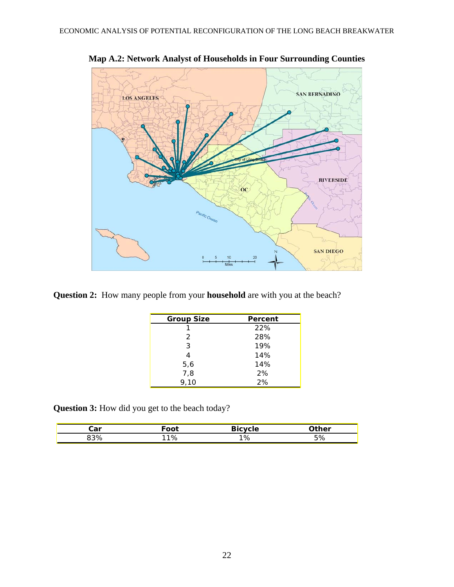

**Map A.2: Network Analyst of Households in Four Surrounding Counties** 

**Question 2:** How many people from your **household** are with you at the beach?

| <b>Group Size</b> | Percent |
|-------------------|---------|
|                   | 22%     |
| 2                 | 28%     |
| 3                 | 19%     |
| 4                 | 14%     |
| 5,6               | 14%     |
| 7,8               | 2%      |
| 9,10              | 2%      |

**Question 3:** How did you get to the beach today?

| شڌ | ັດot | .  | $-har$<br>151 |
|----|------|----|---------------|
|    |      | 1% |               |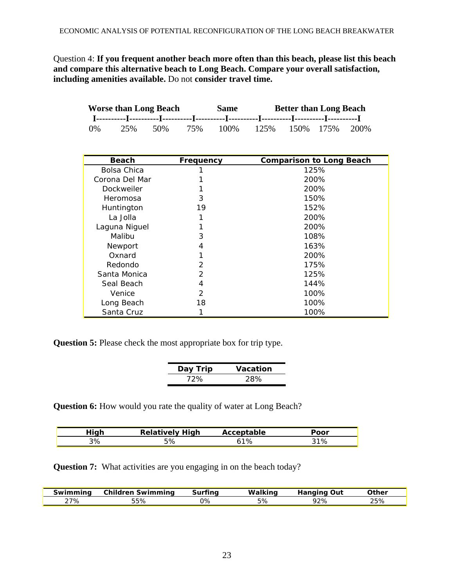Question 4: **If you frequent another beach more often than this beach, please list this beach and compare this alternative beach to Long Beach. Compare your overall satisfaction, including amenities available.** Do not **consider travel time.** 

|    | <b>Worse than Long Beach</b> |     |     | Same |       | <b>Better than Long Beach</b> |                   |  |
|----|------------------------------|-----|-----|------|-------|-------------------------------|-------------------|--|
|    |                              |     |     |      |       |                               |                   |  |
| 0% | 25%                          | 50% | 75% | 100% | 12.5% |                               | 150\% 175\% 200\% |  |

| <b>Beach</b>   | Frequency     | <b>Comparison to Long Beach</b> |
|----------------|---------------|---------------------------------|
| Bolsa Chica    |               | 125%                            |
| Corona Del Mar |               | 200%                            |
| Dockweiler     |               | 200%                            |
| Heromosa       | 3             | 150%                            |
| Huntington     | 19            | 152%                            |
| La Jolla       |               | 200%                            |
| Laguna Niguel  |               | 200%                            |
| Malibu         | 3             | 108%                            |
| Newport        | 4             | 163%                            |
| Oxnard         |               | 200%                            |
| Redondo        | 2             | 175%                            |
| Santa Monica   | $\mathcal{P}$ | 125%                            |
| Seal Beach     | 4             | 144%                            |
| Venice         | 2             | 100%                            |
| Long Beach     | 18            | 100%                            |
| Santa Cruz     |               | 100%                            |

**Question 5:** Please check the most appropriate box for trip type.

| Day Trip | Vacation |
|----------|----------|
| 72%      | 28%      |

**Question 6:** How would you rate the quality of water at Long Beach?

| liah<br> | <b>Relatively</b><br>Hiah | table<br>A<br>ACCC. | Poor |
|----------|---------------------------|---------------------|------|
| 3%       | 5%                        | 1%                  | 31%  |

**Question 7:** What activities are you engaging in on the beach today?

| nınc<br><b>SWIL</b> | .<br>vimmina<br>ww    | $\sim$<br>. | w     |     | other → |
|---------------------|-----------------------|-------------|-------|-----|---------|
| 27%                 | $ \sim$ $\sim$<br>55% | 0%          | , , o | 72% | 7c      |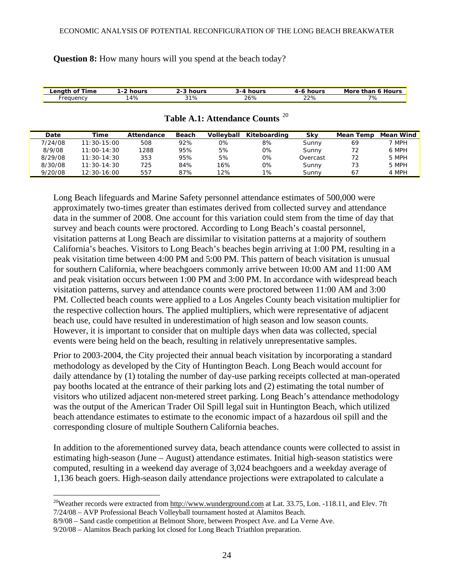**Question 8:** How many hours will you spend at the beach today?

| ∟enath of ⊺<br>⊺ime | hours<br>. . <u>.</u> | hour                     | hours<br>$-1$           | hours<br>д., | Hours<br>More<br>thar<br>o |
|---------------------|-----------------------|--------------------------|-------------------------|--------------|----------------------------|
| reauency            | 4%                    | $\sim$ $\sim$<br>.<br>70 | $\sim$ . $\sim$<br>.O7c | 22%          | 70.<br>70                  |

| Date    | Time            | Attendance | <b>Beach</b> | Volleyball | Kiteboarding | Skv      | Mean Temp | Mean Wind |
|---------|-----------------|------------|--------------|------------|--------------|----------|-----------|-----------|
| 7/24/08 | $11:30-15:00$   | 508        | 92%          | 0%         | 8%           | Sunny    | 69        | 7 MPH     |
| 8/9/08  | $11:00 - 14:30$ | 1288       | 95%          | 5%         | 0%           | Sunny    | 72        | 6 MPH     |
| 8/29/08 | $11:30-14:30$   | 353        | 95%          | 5%         | 0%           | Overcast | 72        | 5 MPH     |
| 8/30/08 | $11:30-14:30$   | 725        | 84%          | 16%        | 0%           | Sunny    | 73        | 5 MPH     |
| 9/20/08 | $12:30-16:00$   | 557        | 87%          | 12%        | 1%           | Sunny    | 67        | 4 MPH     |

#### **Table A.1: Attendance Counts** [20](#page-23-0)

Long Beach lifeguards and Marine Safety personnel attendance estimates of 500,000 were approximately two-times greater than estimates derived from collected survey and attendance data in the summer of 2008. One account for this variation could stem from the time of day that survey and beach counts were proctored. According to Long Beach's coastal personnel, visitation patterns at Long Beach are dissimilar to visitation patterns at a majority of southern California's beaches. Visitors to Long Beach's beaches begin arriving at 1:00 PM, resulting in a peak visitation time between 4:00 PM and 5:00 PM. This pattern of beach visitation is unusual for southern California, where beachgoers commonly arrive between 10:00 AM and 11:00 AM and peak visitation occurs between 1:00 PM and 3:00 PM. In accordance with widespread beach visitation patterns, survey and attendance counts were proctored between 11:00 AM and 3:00 PM. Collected beach counts were applied to a Los Angeles County beach visitation multiplier for the respective collection hours. The applied multipliers, which were representative of adjacent beach use, could have resulted in underestimation of high season and low season counts. However, it is important to consider that on multiple days when data was collected, special events were being held on the beach, resulting in relatively unrepresentative samples.

Prior to 2003-2004, the City projected their annual beach visitation by incorporating a standard methodology as developed by the City of Huntington Beach. Long Beach would account for daily attendance by (1) totaling the number of day-use parking receipts collected at man-operated pay booths located at the entrance of their parking lots and (2) estimating the total number of visitors who utilized adjacent non-metered street parking. Long Beach's attendance methodology was the output of the American Trader Oil Spill legal suit in Huntington Beach, which utilized beach attendance estimates to estimate to the economic impact of a hazardous oil spill and the corresponding closure of multiple Southern California beaches.

In addition to the aforementioned survey data, beach attendance counts were collected to assist in estimating high-season (June – August) attendance estimates. Initial high-season statistics were computed, resulting in a weekend day average of 3,024 beachgoers and a weekday average of 1,136 beach goers. High-season daily attendance projections were extrapolated to calculate a

<span id="page-23-0"></span><sup>&</sup>lt;sup>20</sup>Weather records were extracted from http://www.wunderground.com at Lat. 33.75, Lon. -118.11, and Elev. 7ft 7/24/08 – AVP Professional Beach Volleyball tournament hosted at Alamitos Beach.

<sup>8/9/08 –</sup> Sand castle competition at Belmont Shore, between Prospect Ave. and La Verne Ave.

<sup>9/20/08 –</sup> Alamitos Beach parking lot closed for Long Beach Triathlon preparation.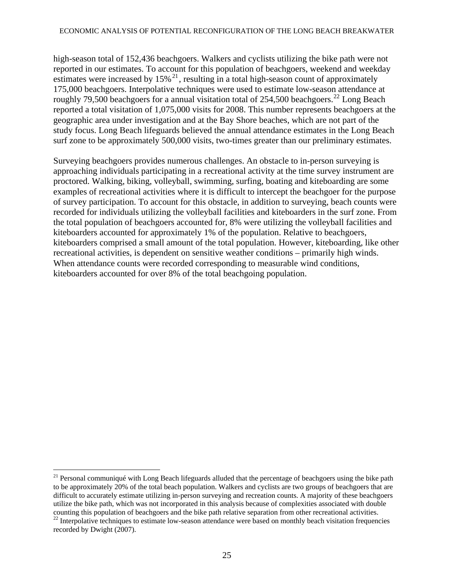high-season total of 152,436 beachgoers. Walkers and cyclists utilizing the bike path were not reported in our estimates. To account for this population of beachgoers, weekend and weekday estimates were increased by  $15\%$ <sup>[21](#page-24-0)</sup>, resulting in a total high-season count of approximately roughly 79,500 beachgoers for a annual visitation total of 254,500 beachgoers.<sup>[22](#page-24-0)</sup> Long Beach 175,000 beachgoers. Interpolative techniques were used to estimate low-season attendance at reported a total visitation of 1,075,000 visits for 2008. This number represents beachgoers at the geographic area under investigation and at the Bay Shore beaches, which are not part of the study focus. Long Beach lifeguards believed the annual attendance estimates in the Long Beach surf zone to be approximately 500,000 visits, two-times greater than our preliminary estimates.

Surveying beachgoers provides numerous challenges. An obstacle to in-person surveying is approaching individuals participating in a recreational activity at the time survey instrument are proctored. Walking, biking, volleyball, swimming, surfing, boating and kiteboarding are some examples of recreational activities where it is difficult to intercept the beachgoer for the purpose of survey participation. To account for this obstacle, in addition to surveying, beach counts were recorded for individuals utilizing the volleyball facilities and kiteboarders in the surf zone. From the total population of beachgoers accounted for, 8% were utilizing the volleyball facilities and kiteboarders accounted for approximately 1% of the population. Relative to beachgoers, kiteboarders comprised a small amount of the total population. However, kiteboarding, like other recreational activities, is dependent on sensitive weather conditions – primarily high winds. When attendance counts were recorded corresponding to measurable wind conditions, kiteboarders accounted for over 8% of the total beachgoing population.

<sup>&</sup>lt;sup>21</sup> Personal communiqué with Long Beach lifeguards alluded that the percentage of beachgoers using the bike path to be approximately 20% of the total beach population. Walkers and cyclists are two groups of beachgoers that are difficult to accurately estimate utilizing in-person surveying and recreation counts. A majority of these beachgoers utilize the bike path, which was not incorporated in this analysis because of complexities associated with double

<span id="page-24-0"></span>counting this population of beachgoers and the bike path relative separation from other recreational activities.<br><sup>22</sup> Interpolative techniques to estimate low-season attendance were based on monthly beach visitation freque recorded by Dwight (2007).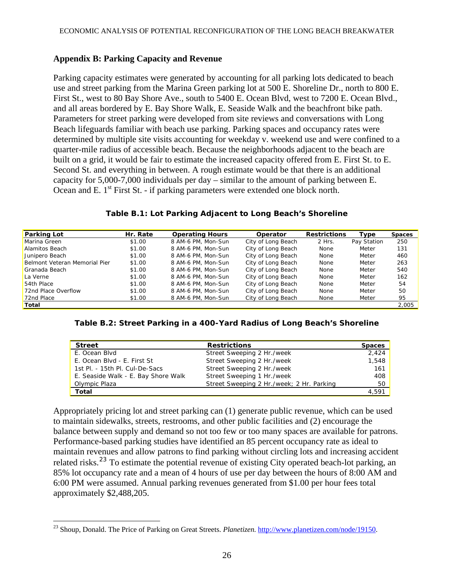### **Appendix B: Parking Capacity and Revenue**

Parking capacity estimates were generated by accounting for all parking lots dedicated to beach use and street parking from the Marina Green parking lot at 500 E. Shoreline Dr., north to 800 E. First St., west to 80 Bay Shore Ave., south to 5400 E. Ocean Blvd, west to 7200 E. Ocean Blvd., and all areas bordered by E. Bay Shore Walk, E. Seaside Walk and the beachfront bike path. Parameters for street parking were developed from site reviews and conversations with Long Beach lifeguards familiar with beach use parking. Parking spaces and occupancy rates were determined by multiple site visits accounting for weekday v. weekend use and were confined to a quarter-mile radius of accessible beach. Because the neighborhoods adjacent to the beach are built on a grid, it would be fair to estimate the increased capacity offered from E. First St. to E. Second St. and everything in between. A rough estimate would be that there is an additional capacity for 5,000-7,000 individuals per day – similar to the amount of parking between E. Ocean and E. 1<sup>st</sup> First St. - if parking parameters were extended one block north.

| Table B.1: Lot Parking Adjacent to Long Beach's Shoreline |  |  |
|-----------------------------------------------------------|--|--|
|-----------------------------------------------------------|--|--|

| <b>Parking Lot</b>            | Hr. Rate | <b>Operating Hours</b> | Operator           | <b>Restrictions</b> | Type        | <b>Spaces</b> |
|-------------------------------|----------|------------------------|--------------------|---------------------|-------------|---------------|
| Marina Green                  | \$1.00   | 8 AM-6 PM, Mon-Sun     | City of Long Beach | 2 Hrs.              | Pay Station | 250           |
| Alamitos Beach                | \$1.00   | 8 AM-6 PM, Mon-Sun     | City of Long Beach | None                | Meter       | 131           |
| Junipero Beach                | \$1.00   | 8 AM-6 PM, Mon-Sun     | City of Long Beach | None                | Meter       | 460           |
| Belmont Veteran Memorial Pier | \$1.00   | 8 AM-6 PM, Mon-Sun     | City of Long Beach | None                | Meter       | 263           |
| Granada Beach                 | \$1.00   | 8 AM-6 PM, Mon-Sun     | City of Long Beach | None                | Meter       | 540           |
| La Verne                      | \$1.00   | 8 AM-6 PM, Mon-Sun     | City of Long Beach | None                | Meter       | 162           |
| 54th Place                    | \$1.00   | 8 AM-6 PM, Mon-Sun     | City of Long Beach | None                | Meter       | 54            |
| 72nd Place Overflow           | \$1.00   | 8 AM-6 PM, Mon-Sun     | City of Long Beach | None                | Meter       | 50            |
| 72nd Place                    | \$1.00   | 8 AM-6 PM, Mon-Sun     | City of Long Beach | None                | Meter       | 95            |
| Total                         |          |                        |                    |                     |             | 2,005         |

**Table B.2: Street Parking in a 400-Yard Radius of Long Beach's Shoreline** 

| <b>Street</b>                       | <b>Restrictions</b>                       | <b>Spaces</b> |
|-------------------------------------|-------------------------------------------|---------------|
| E. Ocean Blvd                       | Street Sweeping 2 Hr./week                | 2.424         |
| E. Ocean Blvd - E. First St         | Street Sweeping 2 Hr./week                | 1,548         |
| 1st PL - 15th PL Cul-De-Sacs        | Street Sweeping 2 Hr./week                | 161           |
| E. Seaside Walk - E. Bay Shore Walk | Street Sweeping 1 Hr./week                | 408           |
| Olympic Plaza                       | Street Sweeping 2 Hr./week; 2 Hr. Parking | 50            |
| Total                               |                                           | 4.591         |

Appropriately pricing lot and street parking can (1) generate public revenue, which can be used to maintain sidewalks, streets, restrooms, and other public facilities and (2) encourage the balance between supply and demand so not too few or too many spaces are available for patrons. Performance-based parking studies have identified an 85 percent occupancy rate as ideal to maintain revenues and allow patrons to find parking without circling lots and increasing accident related risks.<sup>[23](#page-25-0)</sup> To estimate the potential revenue of existing City operated beach-lot parking, an 85% lot occupancy rate and a mean of 4 hours of use per day between the hours of 8:00 AM and 6:00 PM were assumed. Annual parking revenues generated from \$1.00 per hour fees total approximately \$2,488,205.

<span id="page-25-0"></span> $\overline{a}$ 23 Shoup, Donald. The Price of Parking on Great Streets. *Planetizen.* [http://www.planetizen.com/node/19150.](http://www.planetizen.com/node/19150)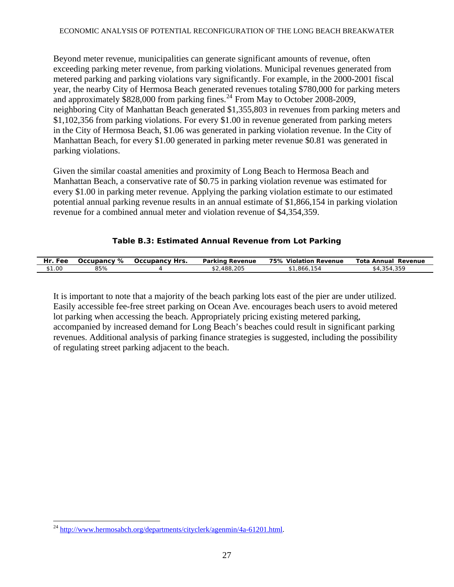#### ECONOMIC ANALYSIS OF POTENTIAL RECONFIGURATION OF THE LONG BEACH BREAKWATER

Beyond meter revenue, municipalities can generate significant amounts of revenue, often exceeding parking meter revenue, from parking violations. Municipal revenues generated from metered parking and parking violations vary significantly. For example, in the 2000-2001 fiscal year, the nearby City of Hermosa Beach generated revenues totaling \$780,000 for parking meters and approximately  $$828,000$  from parking fines.<sup>[24](#page-26-0)</sup> From May to October 2008-2009, neighboring City of Manhattan Beach generated \$1,355,803 in revenues from parking meters and \$1,102,356 from parking violations. For every \$1.00 in revenue generated from parking meters in the City of Hermosa Beach, \$1.06 was generated in parking violation revenue. In the City of Manhattan Beach, for every \$1.00 generated in parking meter revenue \$0.81 was generated in parking violations.

Given the similar coastal amenities and proximity of Long Beach to Hermosa Beach and Manhattan Beach, a conservative rate of \$0.75 in parking violation revenue was estimated for every \$1.00 in parking meter revenue. Applying the parking violation estimate to our estimated potential annual parking revenue results in an annual estimate of \$1,866,154 in parking violation revenue for a combined annual meter and violation revenue of \$4,354,359.

### **Table B.3: Estimated Annual Revenue from Lot Parking**

| Hr.<br>Fee | ℅<br>Occupancv | Occupancy F<br><b>Hrs</b> | Parking<br>Revenue | 75%<br>Violation<br>Revenue | Tota<br>Annual<br>Revenue |
|------------|----------------|---------------------------|--------------------|-----------------------------|---------------------------|
| \$1.00     | 85%            |                           | 488,205            | .866.<br>h<br>.             | \$4,354<br>.              |

It is important to note that a majority of the beach parking lots east of the pier are under utilized. Easily accessible fee-free street parking on Ocean Ave. encourages beach users to avoid metered lot parking when accessing the beach. Appropriately pricing existing metered parking, accompanied by increased demand for Long Beach's beaches could result in significant parking revenues. Additional analysis of parking finance strategies is suggested, including the possibility of regulating street parking adjacent to the beach.

<span id="page-26-0"></span> $\overline{a}$ <sup>24</sup> <http://www.hermosabch.org/departments/cityclerk/agenmin/4a-61201.html>.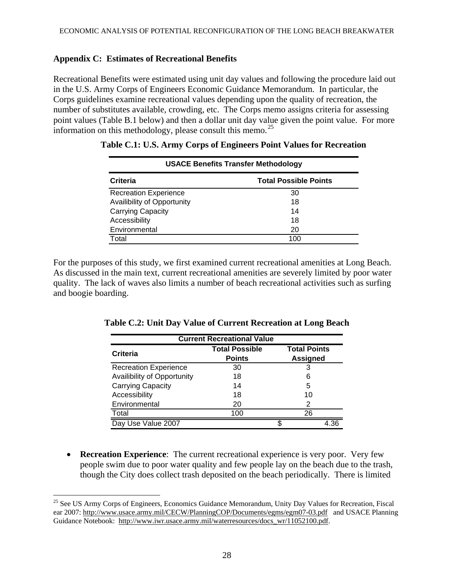### **Appendix C: Estimates of Recreational Benefits**

Recreational Benefits were estimated using unit day values and following the procedure laid out in the U.S. Army Corps of Engineers Economic Guidance Memorandum. In particular, the Corps guidelines examine recreational values depending upon the quality of recreation, the number of substitutes available, crowding, etc. The Corps memo assigns criteria for assessing point values (Table B.1 below) and then a dollar unit day value given the point value. For more information on this methodology, please consult this memo.<sup>[25](#page-27-0)</sup>

| <b>USACE Benefits Transfer Methodology</b> |                              |  |  |  |  |  |  |  |
|--------------------------------------------|------------------------------|--|--|--|--|--|--|--|
| Criteria                                   | <b>Total Possible Points</b> |  |  |  |  |  |  |  |
| <b>Recreation Experience</b>               | 30                           |  |  |  |  |  |  |  |
| Availibility of Opportunity                | 18                           |  |  |  |  |  |  |  |
| Carrying Capacity                          | 14                           |  |  |  |  |  |  |  |
| Accessibility                              | 18                           |  |  |  |  |  |  |  |
| Environmental                              | 20                           |  |  |  |  |  |  |  |
| Total                                      | 100                          |  |  |  |  |  |  |  |

**Table C.1: U.S. Army Corps of Engineers Point Values for Recreation** 

For the purposes of this study, we first examined current recreational amenities at Long Beach. As discussed in the main text, current recreational amenities are severely limited by poor water quality. The lack of waves also limits a number of beach recreational activities such as surfing and boogie boarding.

| <b>Current Recreational Value</b> |                       |                     |  |  |  |  |  |  |  |
|-----------------------------------|-----------------------|---------------------|--|--|--|--|--|--|--|
| Criteria                          | <b>Total Possible</b> | <b>Total Points</b> |  |  |  |  |  |  |  |
|                                   | <b>Points</b>         | <b>Assigned</b>     |  |  |  |  |  |  |  |
| <b>Recreation Experience</b>      | 30                    |                     |  |  |  |  |  |  |  |
| Availibility of Opportunity       | 18                    | 6                   |  |  |  |  |  |  |  |
| Carrying Capacity                 | 14                    | 5                   |  |  |  |  |  |  |  |
| Accessibility                     | 18                    | 10                  |  |  |  |  |  |  |  |
| Environmental                     | 20                    | 2                   |  |  |  |  |  |  |  |
| Total                             | 100                   | 26                  |  |  |  |  |  |  |  |
| Day Use Value 2007                |                       | \$                  |  |  |  |  |  |  |  |

**Table C.2: Unit Day Value of Current Recreation at Long Beach** 

• **Recreation Experience**: The current recreational experience is very poor. Very few people swim due to poor water quality and few people lay on the beach due to the trash, though the City does collect trash deposited on the beach periodically. There is limited

<span id="page-27-0"></span><sup>&</sup>lt;sup>25</sup> See US Army Corps of Engineers, Economics Guidance Memorandum, Unity Day Values for Recreation, Fiscal ear 2007: http://www.usace.army.mil/CECW/PlanningCOP/Documents/egms/egm07-03.pdf and USACE Planning Guidance Notebook: http://www.iwr.usace.army.mil/waterresources/docs\_wr/11052100.pdf.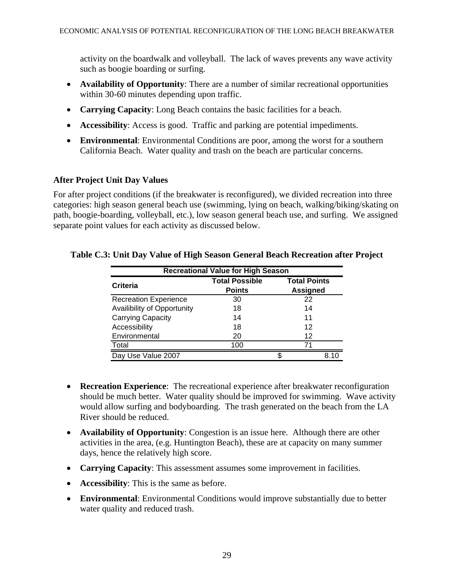activity on the boardwalk and volleyball. The lack of waves prevents any wave activity such as boogie boarding or surfing.

- **Availability of Opportunity**: There are a number of similar recreational opportunities within 30-60 minutes depending upon traffic.
- **Carrying Capacity**: Long Beach contains the basic facilities for a beach.
- **Accessibility**: Access is good. Traffic and parking are potential impediments.
- **Environmental**: Environmental Conditions are poor, among the worst for a southern California Beach. Water quality and trash on the beach are particular concerns.

### **After Project Unit Day Values**

For after project conditions (if the breakwater is reconfigured), we divided recreation into three categories: high season general beach use (swimming, lying on beach, walking/biking/skating on path, boogie-boarding, volleyball, etc.), low season general beach use, and surfing. We assigned separate point values for each activity as discussed below.

| <b>Recreational Value for High Season</b> |                       |                     |  |  |  |  |  |  |  |
|-------------------------------------------|-----------------------|---------------------|--|--|--|--|--|--|--|
| <b>Criteria</b>                           | <b>Total Possible</b> | <b>Total Points</b> |  |  |  |  |  |  |  |
|                                           | <b>Points</b>         | <b>Assigned</b>     |  |  |  |  |  |  |  |
| <b>Recreation Experience</b>              | 30                    | 22                  |  |  |  |  |  |  |  |
| Availibility of Opportunity               | 18                    | 14                  |  |  |  |  |  |  |  |
| Carrying Capacity                         | 14                    | 11                  |  |  |  |  |  |  |  |
| Accessibility                             | 18                    | 12                  |  |  |  |  |  |  |  |
| Environmental                             | 20                    | 12                  |  |  |  |  |  |  |  |
| Total                                     | 100                   | 71                  |  |  |  |  |  |  |  |
| Day Use Value 2007                        |                       | S<br>8 1 C          |  |  |  |  |  |  |  |

### **Table C.3: Unit Day Value of High Season General Beach Recreation after Project**

- **Recreation Experience**: The recreational experience after breakwater reconfiguration should be much better. Water quality should be improved for swimming. Wave activity would allow surfing and bodyboarding. The trash generated on the beach from the LA River should be reduced.
- **Availability of Opportunity**: Congestion is an issue here. Although there are other activities in the area, (e.g. Huntington Beach), these are at capacity on many summer days, hence the relatively high score.
- **Carrying Capacity**: This assessment assumes some improvement in facilities.
- **Accessibility**: This is the same as before.
- **Environmental**: Environmental Conditions would improve substantially due to better water quality and reduced trash.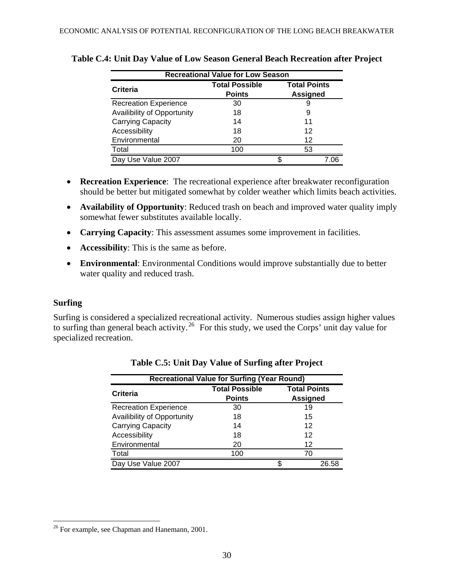| <b>Recreational Value for Low Season</b> |                       |                     |  |  |  |  |  |  |  |
|------------------------------------------|-----------------------|---------------------|--|--|--|--|--|--|--|
| Criteria                                 | <b>Total Possible</b> | <b>Total Points</b> |  |  |  |  |  |  |  |
|                                          | <b>Points</b>         | <b>Assigned</b>     |  |  |  |  |  |  |  |
| <b>Recreation Experience</b>             | 30                    | 9                   |  |  |  |  |  |  |  |
| Availibility of Opportunity              | 18                    | 9                   |  |  |  |  |  |  |  |
| Carrying Capacity                        | 14                    | 11                  |  |  |  |  |  |  |  |
| Accessibility                            | 18                    | 12                  |  |  |  |  |  |  |  |
| Environmental                            | 20                    | 12                  |  |  |  |  |  |  |  |
| Total                                    | 100                   | 53                  |  |  |  |  |  |  |  |
| Day Use Value 2007                       |                       | 7 በ6                |  |  |  |  |  |  |  |

#### **Table C.4: Unit Day Value of Low Season General Beach Recreation after Project**

- **Recreation Experience**: The recreational experience after breakwater reconfiguration should be better but mitigated somewhat by colder weather which limits beach activities.
- **Availability of Opportunity**: Reduced trash on beach and improved water quality imply somewhat fewer substitutes available locally.
- **Carrying Capacity**: This assessment assumes some improvement in facilities.
- **Accessibility**: This is the same as before.
- **Environmental**: Environmental Conditions would improve substantially due to better water quality and reduced trash.

### **Surfing**

 $\overline{a}$ 

Surfing is considered a specialized recreational activity. Numerous studies assign higher values to surfing than general beach activity.<sup>[26](#page-29-0)</sup> For this study, we used the Corps' unit day value for specialized recreation.

| <b>Recreational Value for Surfing (Year Round)</b> |                       |                     |  |  |  |  |  |  |  |
|----------------------------------------------------|-----------------------|---------------------|--|--|--|--|--|--|--|
| Criteria                                           | <b>Total Possible</b> | <b>Total Points</b> |  |  |  |  |  |  |  |
|                                                    | <b>Points</b>         | <b>Assigned</b>     |  |  |  |  |  |  |  |
| <b>Recreation Experience</b>                       | 30                    | 19                  |  |  |  |  |  |  |  |
| Availibility of Opportunity                        | 18                    | 15                  |  |  |  |  |  |  |  |
| <b>Carrying Capacity</b>                           | 14                    | 12                  |  |  |  |  |  |  |  |
| Accessibility                                      | 18                    | 12                  |  |  |  |  |  |  |  |
| Environmental                                      | 20                    | 12                  |  |  |  |  |  |  |  |
| Total                                              | 100                   | 70                  |  |  |  |  |  |  |  |
| Day Use Value 2007                                 |                       | 26.58               |  |  |  |  |  |  |  |

| Table C.5: Unit Day Value of Surfing after Project |  |  |  |  |  |
|----------------------------------------------------|--|--|--|--|--|
|----------------------------------------------------|--|--|--|--|--|

<span id="page-29-0"></span><sup>&</sup>lt;sup>26</sup> For example, see Chapman and Hanemann, 2001.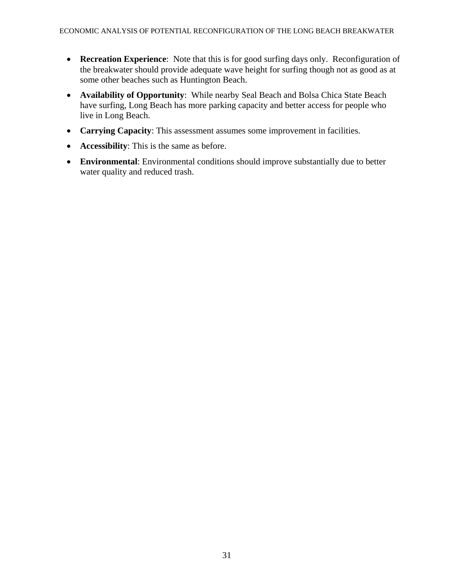- **Recreation Experience**: Note that this is for good surfing days only. Reconfiguration of the breakwater should provide adequate wave height for surfing though not as good as at some other beaches such as Huntington Beach.
- **Availability of Opportunity**: While nearby Seal Beach and Bolsa Chica State Beach have surfing, Long Beach has more parking capacity and better access for people who live in Long Beach.
- **Carrying Capacity**: This assessment assumes some improvement in facilities.
- **Accessibility**: This is the same as before.
- **Environmental**: Environmental conditions should improve substantially due to better water quality and reduced trash.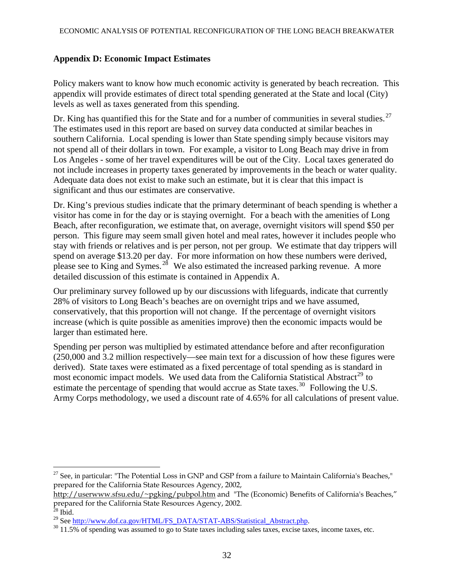### **Appendix D: Economic Impact Estimates**

Policy makers want to know how much economic activity is generated by beach recreation. This appendix will provide estimates of direct total spending generated at the State and local (City) levels as well as taxes generated from this spending.

Dr. King has quantified this for the State and for a number of communities in several studies.<sup>[27](#page-31-0)</sup> The estimates used in this report are based on survey data conducted at similar beaches in southern California. Local spending is lower than State spending simply because visitors may not spend all of their dollars in town. For example, a visitor to Long Beach may drive in from Los Angeles - some of her travel expenditures will be out of the City. Local taxes generated do not include increases in property taxes generated by improvements in the beach or water quality. Adequate data does not exist to make such an estimate, but it is clear that this impact is significant and thus our estimates are conservative.

Dr. King's previous studies indicate that the primary determinant of beach spending is whether a visitor has come in for the day or is staying overnight. For a beach with the amenities of Long Beach, after reconfiguration, we estimate that, on average, overnight visitors will spend \$50 per person. This figure may seem small given hotel and meal rates, however it includes people who stay with friends or relatives and is per person, not per group. We estimate that day trippers will spend on average \$13.20 per day. For more information on how these numbers were derived, please see to King and Symes.<sup>[28](#page-31-1)</sup> We also estimated the increased parking revenue. A more detailed discussion of this estimate is contained in Appendix A.

Our preliminary survey followed up by our discussions with lifeguards, indicate that currently 28% of visitors to Long Beach's beaches are on overnight trips and we have assumed, conservatively, that this proportion will not change. If the percentage of overnight visitors increase (which is quite possible as amenities improve) then the economic impacts would be larger than estimated here.

Spending per person was multiplied by estimated attendance before and after reconfiguration (250,000 and 3.2 million respectively—see main text for a discussion of how these figures were derived). State taxes were estimated as a fixed percentage of total spending as is standard in most economic impact models. We used data from the California Statistical Abstract<sup>[29](#page-31-2)</sup> to estimate the percentage of spending that would accrue as State taxes.<sup>[30](#page-31-3)</sup> Following the U.S. Army Corps methodology, we used a discount rate of 4.65% for all calculations of present value.

<span id="page-31-0"></span><sup>&</sup>lt;sup>27</sup> See, in particular: "The Potential Loss in GNP and GSP from a failure to Maintain California's Beaches," prepared for the California State Resources Agency, 2002,

http://userwww.sfsu.edu/~pgking/pubpol.htm and "The (Economic) Benefits of California's Beaches," prepared for the California State Resources Agency, 2002.

<span id="page-31-2"></span><span id="page-31-1"></span><sup>&</sup>lt;sup>28</sup> Ibid.<br><sup>29</sup> See http://www.dof.ca.gov/HTML/FS\_DATA/STAT-ABS/Statistical\_Abstract.php.

<span id="page-31-3"></span> $30$  11.5% of spending was assumed to go to State taxes including sales taxes, excise taxes, income taxes, etc.